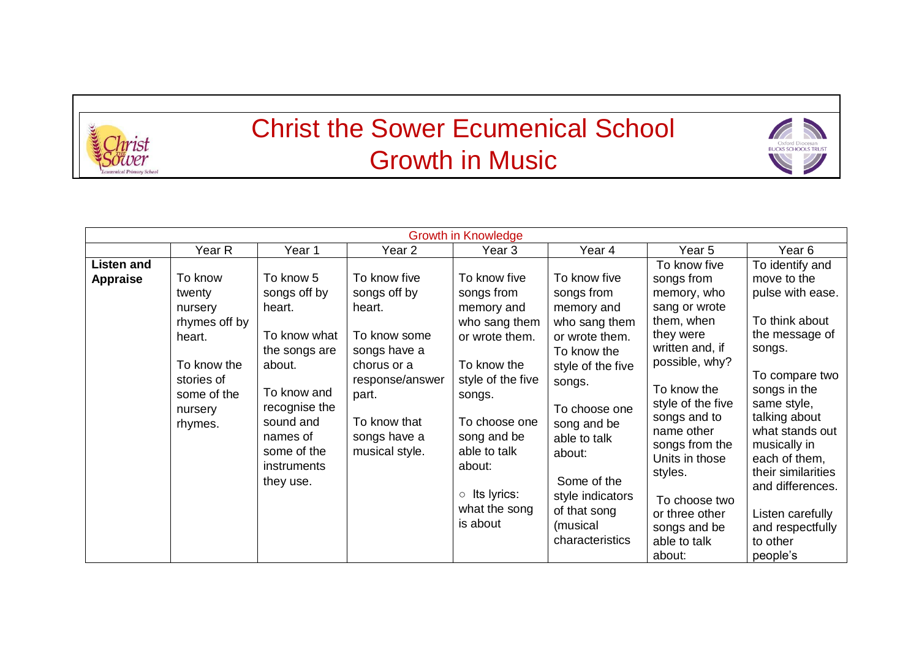

## Christ the Sower Ecumenical School Growth in Music



|                                      |                                                                                                                           |                                                                                                                                                                                    |                                                                                                                                                                     | <b>Growth in Knowledge</b>                                                                                                                                                                                                              |                                                                                                                                                                                                                                                                       |                                                                                                                                                                                                                                                                                                                          |                                                                                                                                                                                                                                                                                                                                  |
|--------------------------------------|---------------------------------------------------------------------------------------------------------------------------|------------------------------------------------------------------------------------------------------------------------------------------------------------------------------------|---------------------------------------------------------------------------------------------------------------------------------------------------------------------|-----------------------------------------------------------------------------------------------------------------------------------------------------------------------------------------------------------------------------------------|-----------------------------------------------------------------------------------------------------------------------------------------------------------------------------------------------------------------------------------------------------------------------|--------------------------------------------------------------------------------------------------------------------------------------------------------------------------------------------------------------------------------------------------------------------------------------------------------------------------|----------------------------------------------------------------------------------------------------------------------------------------------------------------------------------------------------------------------------------------------------------------------------------------------------------------------------------|
|                                      | Year R                                                                                                                    | Year 1                                                                                                                                                                             | Year 2                                                                                                                                                              | Year 3                                                                                                                                                                                                                                  | Year 4                                                                                                                                                                                                                                                                | Year 5                                                                                                                                                                                                                                                                                                                   | Year 6                                                                                                                                                                                                                                                                                                                           |
| <b>Listen and</b><br><b>Appraise</b> | To know<br>twenty<br>nursery<br>rhymes off by<br>heart.<br>To know the<br>stories of<br>some of the<br>nursery<br>rhymes. | To know 5<br>songs off by<br>heart.<br>To know what<br>the songs are<br>about.<br>To know and<br>recognise the<br>sound and<br>names of<br>some of the<br>instruments<br>they use. | To know five<br>songs off by<br>heart.<br>To know some<br>songs have a<br>chorus or a<br>response/answer<br>part.<br>To know that<br>songs have a<br>musical style. | To know five<br>songs from<br>memory and<br>who sang them<br>or wrote them.<br>To know the<br>style of the five<br>songs.<br>To choose one<br>song and be<br>able to talk<br>about:<br>$\circ$ Its lyrics:<br>what the song<br>is about | To know five<br>songs from<br>memory and<br>who sang them<br>or wrote them.<br>To know the<br>style of the five<br>songs.<br>To choose one<br>song and be<br>able to talk<br>about:<br>Some of the<br>style indicators<br>of that song<br>(musical<br>characteristics | To know five<br>songs from<br>memory, who<br>sang or wrote<br>them, when<br>they were<br>written and, if<br>possible, why?<br>To know the<br>style of the five<br>songs and to<br>name other<br>songs from the<br>Units in those<br>styles.<br>To choose two<br>or three other<br>songs and be<br>able to talk<br>about: | To identify and<br>move to the<br>pulse with ease.<br>To think about<br>the message of<br>songs.<br>To compare two<br>songs in the<br>same style,<br>talking about<br>what stands out<br>musically in<br>each of them,<br>their similarities<br>and differences.<br>Listen carefully<br>and respectfully<br>to other<br>people's |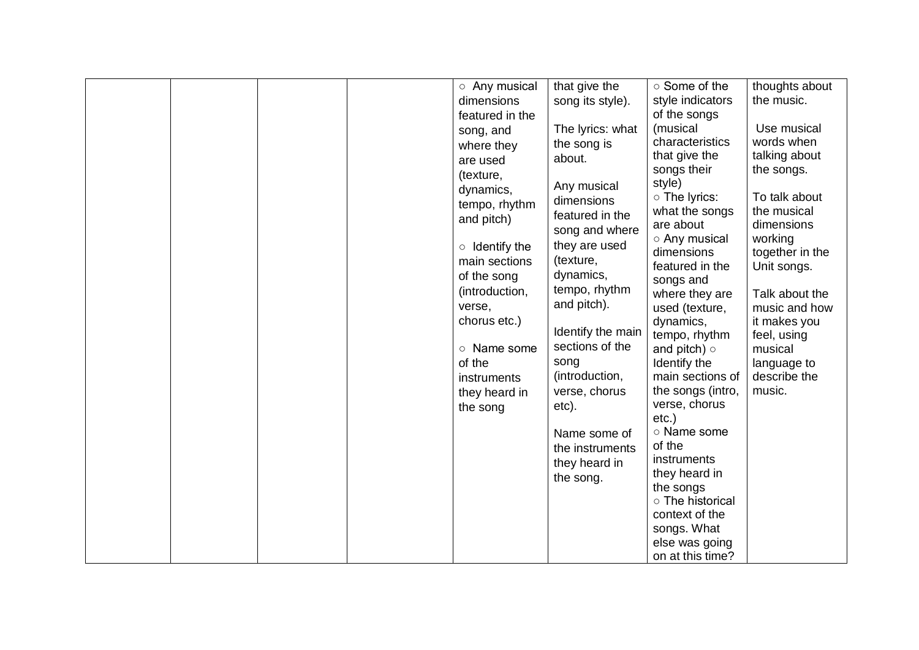|  |  | ○ Any musical        | that give the     | ○ Some of the      | thoughts about         |
|--|--|----------------------|-------------------|--------------------|------------------------|
|  |  | dimensions           | song its style).  | style indicators   | the music.             |
|  |  | featured in the      |                   | of the songs       |                        |
|  |  | song, and            | The lyrics: what  | (musical           | Use musical            |
|  |  | where they           | the song is       | characteristics    | words when             |
|  |  | are used             | about.            | that give the      | talking about          |
|  |  | (texture,            |                   | songs their        | the songs.             |
|  |  |                      | Any musical       | style)             |                        |
|  |  | dynamics,            | dimensions        | ○ The lyrics:      | To talk about          |
|  |  | tempo, rhythm        | featured in the   | what the songs     | the musical            |
|  |  | and pitch)           |                   | are about          | dimensions             |
|  |  |                      | song and where    | ○ Any musical      | working                |
|  |  | $\circ$ Identify the | they are used     | dimensions         | together in the        |
|  |  | main sections        | (texture,         | featured in the    | Unit songs.            |
|  |  | of the song          | dynamics,         | songs and          |                        |
|  |  | (introduction,       | tempo, rhythm     | where they are     | Talk about the         |
|  |  | verse,               | and pitch).       | used (texture,     | music and how          |
|  |  | chorus etc.)         |                   | dynamics,          | it makes you           |
|  |  |                      | Identify the main | tempo, rhythm      |                        |
|  |  | o Name some          | sections of the   |                    | feel, using<br>musical |
|  |  |                      |                   | and pitch) $\circ$ |                        |
|  |  | of the               | song              | Identify the       | language to            |
|  |  | instruments          | (introduction,    | main sections of   | describe the           |
|  |  | they heard in        | verse, chorus     | the songs (intro,  | music.                 |
|  |  | the song             | etc).             | verse, chorus      |                        |
|  |  |                      |                   | $etc.$ )           |                        |
|  |  |                      | Name some of      | ○ Name some        |                        |
|  |  |                      | the instruments   | of the             |                        |
|  |  |                      | they heard in     | instruments        |                        |
|  |  |                      | the song.         | they heard in      |                        |
|  |  |                      |                   | the songs          |                        |
|  |  |                      |                   | o The historical   |                        |
|  |  |                      |                   | context of the     |                        |
|  |  |                      |                   | songs. What        |                        |
|  |  |                      |                   | else was going     |                        |
|  |  |                      |                   | on at this time?   |                        |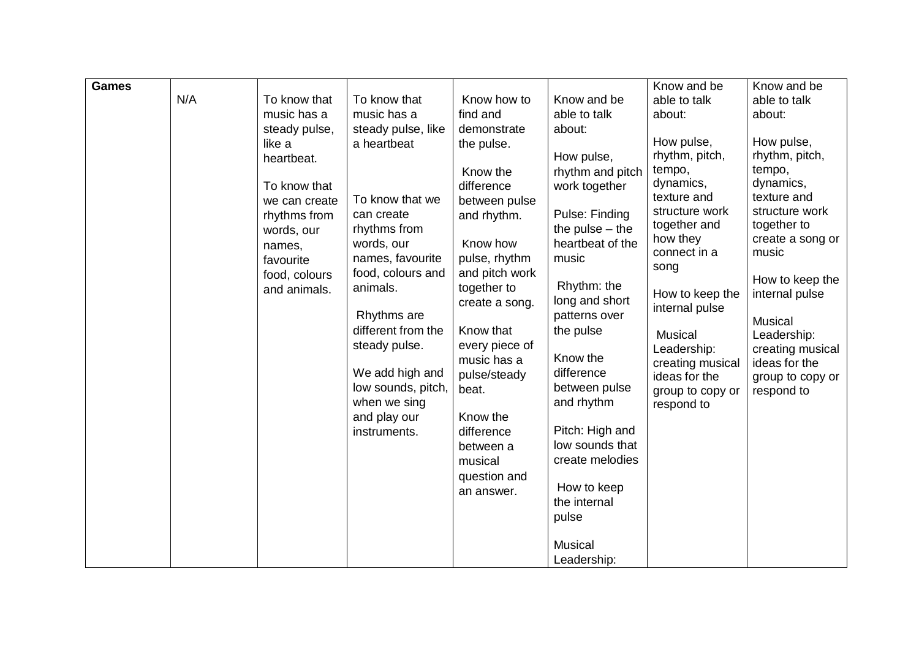| <b>Games</b> | N/A | To know that<br>music has a<br>steady pulse,<br>like a<br>heartbeat.<br>To know that                | To know that<br>music has a<br>steady pulse, like<br>a heartbeat<br>To know that we                                                         | Know how to<br>find and<br>demonstrate<br>the pulse.<br>Know the<br>difference                                                        | Know and be<br>able to talk<br>about:<br>How pulse,<br>rhythm and pitch<br>work together                                                     | Know and be<br>able to talk<br>about:<br>How pulse,<br>rhythm, pitch,<br>tempo,<br>dynamics,<br>texture and | Know and be<br>able to talk<br>about:<br>How pulse,<br>rhythm, pitch,<br>tempo,<br>dynamics,<br>texture and |
|--------------|-----|-----------------------------------------------------------------------------------------------------|---------------------------------------------------------------------------------------------------------------------------------------------|---------------------------------------------------------------------------------------------------------------------------------------|----------------------------------------------------------------------------------------------------------------------------------------------|-------------------------------------------------------------------------------------------------------------|-------------------------------------------------------------------------------------------------------------|
|              |     | we can create<br>rhythms from<br>words, our<br>names,<br>favourite<br>food, colours<br>and animals. | can create<br>rhythms from<br>words, our<br>names, favourite<br>food, colours and<br>animals.                                               | between pulse<br>and rhythm.<br>Know how<br>pulse, rhythm<br>and pitch work<br>together to<br>create a song.                          | Pulse: Finding<br>the pulse $-$ the<br>heartbeat of the<br>music<br>Rhythm: the<br>long and short                                            | structure work<br>together and<br>how they<br>connect in a<br>song<br>How to keep the<br>internal pulse     | structure work<br>together to<br>create a song or<br>music<br>How to keep the<br>internal pulse             |
|              |     |                                                                                                     | Rhythms are<br>different from the<br>steady pulse.<br>We add high and<br>low sounds, pitch,<br>when we sing<br>and play our<br>instruments. | Know that<br>every piece of<br>music has a<br>pulse/steady<br>beat.<br>Know the<br>difference<br>between a<br>musical<br>question and | patterns over<br>the pulse<br>Know the<br>difference<br>between pulse<br>and rhythm<br>Pitch: High and<br>low sounds that<br>create melodies | <b>Musical</b><br>Leadership:<br>creating musical<br>ideas for the<br>group to copy or<br>respond to        | Musical<br>Leadership:<br>creating musical<br>ideas for the<br>group to copy or<br>respond to               |
|              |     |                                                                                                     |                                                                                                                                             | an answer.                                                                                                                            | How to keep<br>the internal<br>pulse<br><b>Musical</b><br>Leadership:                                                                        |                                                                                                             |                                                                                                             |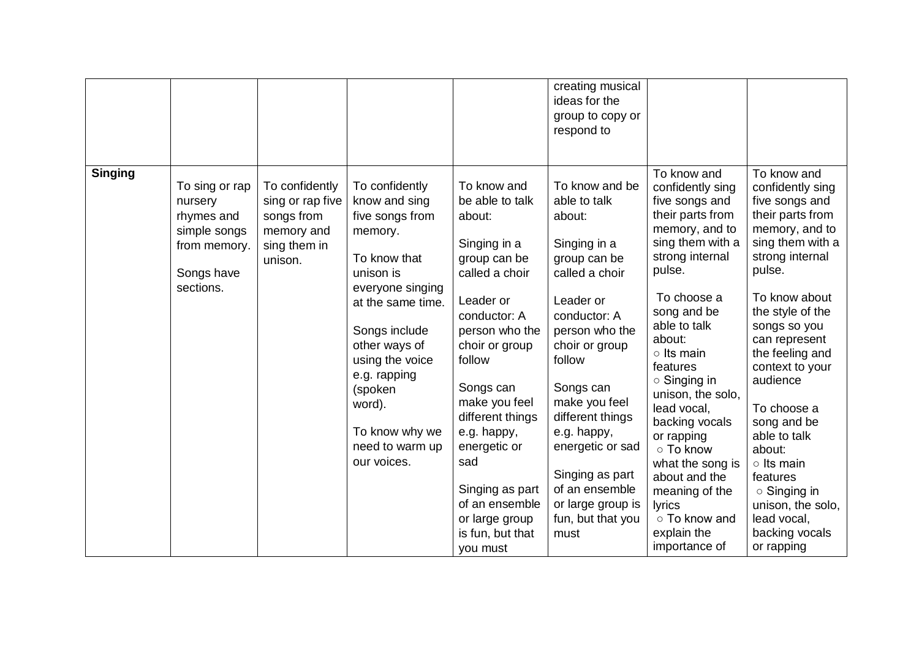|                |                                                                                                    |                                                                                           |                                                                                                                                                                                                                                                                                   |                                                                                                                                                                                                                                                                                                                                                      | creating musical<br>ideas for the<br>group to copy or<br>respond to                                                                                                                                                                                                                                                                               |                                                                                                                                                                                                                                                                                                                                                                                                                                                           |                                                                                                                                                                                                                                                                                                                                                                                                                                                    |
|----------------|----------------------------------------------------------------------------------------------------|-------------------------------------------------------------------------------------------|-----------------------------------------------------------------------------------------------------------------------------------------------------------------------------------------------------------------------------------------------------------------------------------|------------------------------------------------------------------------------------------------------------------------------------------------------------------------------------------------------------------------------------------------------------------------------------------------------------------------------------------------------|---------------------------------------------------------------------------------------------------------------------------------------------------------------------------------------------------------------------------------------------------------------------------------------------------------------------------------------------------|-----------------------------------------------------------------------------------------------------------------------------------------------------------------------------------------------------------------------------------------------------------------------------------------------------------------------------------------------------------------------------------------------------------------------------------------------------------|----------------------------------------------------------------------------------------------------------------------------------------------------------------------------------------------------------------------------------------------------------------------------------------------------------------------------------------------------------------------------------------------------------------------------------------------------|
| <b>Singing</b> | To sing or rap<br>nursery<br>rhymes and<br>simple songs<br>from memory.<br>Songs have<br>sections. | To confidently<br>sing or rap five<br>songs from<br>memory and<br>sing them in<br>unison. | To confidently<br>know and sing<br>five songs from<br>memory.<br>To know that<br>unison is<br>everyone singing<br>at the same time.<br>Songs include<br>other ways of<br>using the voice<br>e.g. rapping<br>(spoken<br>word).<br>To know why we<br>need to warm up<br>our voices. | To know and<br>be able to talk<br>about:<br>Singing in a<br>group can be<br>called a choir<br>Leader or<br>conductor: A<br>person who the<br>choir or group<br>follow<br>Songs can<br>make you feel<br>different things<br>e.g. happy,<br>energetic or<br>sad<br>Singing as part<br>of an ensemble<br>or large group<br>is fun, but that<br>you must | To know and be<br>able to talk<br>about:<br>Singing in a<br>group can be<br>called a choir<br>Leader or<br>conductor: A<br>person who the<br>choir or group<br>follow<br>Songs can<br>make you feel<br>different things<br>e.g. happy,<br>energetic or sad<br>Singing as part<br>of an ensemble<br>or large group is<br>fun, but that you<br>must | To know and<br>confidently sing<br>five songs and<br>their parts from<br>memory, and to<br>sing them with a<br>strong internal<br>pulse.<br>To choose a<br>song and be<br>able to talk<br>about:<br>$\circ$ Its main<br>features<br>$\circ$ Singing in<br>unison, the solo,<br>lead vocal,<br>backing vocals<br>or rapping<br>○ To know<br>what the song is<br>about and the<br>meaning of the<br>lyrics<br>o To know and<br>explain the<br>importance of | To know and<br>confidently sing<br>five songs and<br>their parts from<br>memory, and to<br>sing them with a<br>strong internal<br>pulse.<br>To know about<br>the style of the<br>songs so you<br>can represent<br>the feeling and<br>context to your<br>audience<br>To choose a<br>song and be<br>able to talk<br>about:<br>$\circ$ Its main<br>features<br>$\circ$ Singing in<br>unison, the solo,<br>lead vocal,<br>backing vocals<br>or rapping |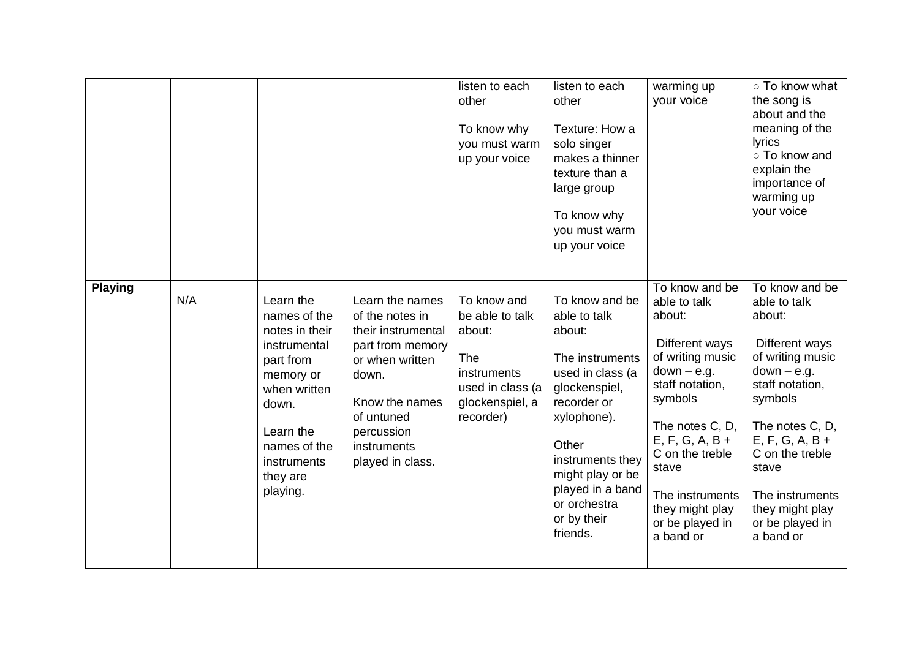|                |     |                                                                                                                                                                                    |                                                                                                                                                                                           | listen to each<br>other<br>To know why<br>you must warm<br>up your voice                                                  | listen to each<br>other<br>Texture: How a<br>solo singer<br>makes a thinner<br>texture than a<br>large group<br>To know why<br>you must warm<br>up your voice                                                                                  | warming up<br>your voice                                                                                                                                                                                                                                                | ○ To know what<br>the song is<br>about and the<br>meaning of the<br>lyrics<br>○ To know and<br>explain the<br>importance of<br>warming up<br>your voice                                                                                                                 |
|----------------|-----|------------------------------------------------------------------------------------------------------------------------------------------------------------------------------------|-------------------------------------------------------------------------------------------------------------------------------------------------------------------------------------------|---------------------------------------------------------------------------------------------------------------------------|------------------------------------------------------------------------------------------------------------------------------------------------------------------------------------------------------------------------------------------------|-------------------------------------------------------------------------------------------------------------------------------------------------------------------------------------------------------------------------------------------------------------------------|-------------------------------------------------------------------------------------------------------------------------------------------------------------------------------------------------------------------------------------------------------------------------|
| <b>Playing</b> | N/A | Learn the<br>names of the<br>notes in their<br>instrumental<br>part from<br>memory or<br>when written<br>down.<br>Learn the<br>names of the<br>instruments<br>they are<br>playing. | Learn the names<br>of the notes in<br>their instrumental<br>part from memory<br>or when written<br>down.<br>Know the names<br>of untuned<br>percussion<br>instruments<br>played in class. | To know and<br>be able to talk<br>about:<br><b>The</b><br>instruments<br>used in class (a<br>glockenspiel, a<br>recorder) | To know and be<br>able to talk<br>about:<br>The instruments<br>used in class (a<br>glockenspiel,<br>recorder or<br>xylophone).<br>Other<br>instruments they<br>might play or be<br>played in a band<br>or orchestra<br>or by their<br>friends. | To know and be<br>able to talk<br>about:<br>Different ways<br>of writing music<br>$down - e.g.$<br>staff notation,<br>symbols<br>The notes C, D,<br>$E, F, G, A, B +$<br>C on the treble<br>stave<br>The instruments<br>they might play<br>or be played in<br>a band or | To know and be<br>able to talk<br>about:<br>Different ways<br>of writing music<br>$down - e.g.$<br>staff notation,<br>symbols<br>The notes C, D,<br>$E, F, G, A, B +$<br>C on the treble<br>stave<br>The instruments<br>they might play<br>or be played in<br>a band or |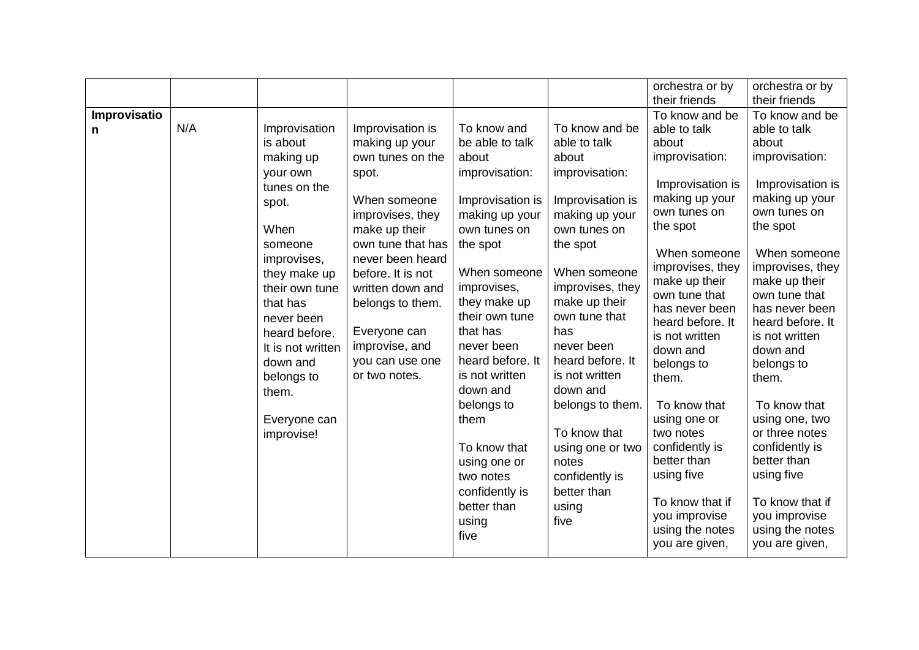|                   |     |                                                                                                                                                                                                                                                    |                                                                                                                                                                                                                                                                                                  |                                                                                                                                                                                                                                                                          |                                                                                                                                                                                                                                                                          | orchestra or by<br>their friends                                                                                                                                                                                                                                                             | orchestra or by<br>their friends                                                                                                                                                                                                                                                             |
|-------------------|-----|----------------------------------------------------------------------------------------------------------------------------------------------------------------------------------------------------------------------------------------------------|--------------------------------------------------------------------------------------------------------------------------------------------------------------------------------------------------------------------------------------------------------------------------------------------------|--------------------------------------------------------------------------------------------------------------------------------------------------------------------------------------------------------------------------------------------------------------------------|--------------------------------------------------------------------------------------------------------------------------------------------------------------------------------------------------------------------------------------------------------------------------|----------------------------------------------------------------------------------------------------------------------------------------------------------------------------------------------------------------------------------------------------------------------------------------------|----------------------------------------------------------------------------------------------------------------------------------------------------------------------------------------------------------------------------------------------------------------------------------------------|
| Improvisatio<br>n | N/A | Improvisation<br>is about<br>making up<br>your own<br>tunes on the<br>spot.<br>When<br>someone<br>improvises,<br>they make up<br>their own tune<br>that has<br>never been<br>heard before.<br>It is not written<br>down and<br>belongs to<br>them. | Improvisation is<br>making up your<br>own tunes on the<br>spot.<br>When someone<br>improvises, they<br>make up their<br>own tune that has<br>never been heard<br>before. It is not<br>written down and<br>belongs to them.<br>Everyone can<br>improvise, and<br>you can use one<br>or two notes. | To know and<br>be able to talk<br>about<br>improvisation:<br>Improvisation is<br>making up your<br>own tunes on<br>the spot<br>When someone<br>improvises,<br>they make up<br>their own tune<br>that has<br>never been<br>heard before. It<br>is not written<br>down and | To know and be<br>able to talk<br>about<br>improvisation:<br>Improvisation is<br>making up your<br>own tunes on<br>the spot<br>When someone<br>improvises, they<br>make up their<br>own tune that<br>has<br>never been<br>heard before. It<br>is not written<br>down and | To know and be<br>able to talk<br>about<br>improvisation:<br>Improvisation is<br>making up your<br>own tunes on<br>the spot<br>When someone<br>improvises, they<br>make up their<br>own tune that<br>has never been<br>heard before. It<br>is not written<br>down and<br>belongs to<br>them. | To know and be<br>able to talk<br>about<br>improvisation:<br>Improvisation is<br>making up your<br>own tunes on<br>the spot<br>When someone<br>improvises, they<br>make up their<br>own tune that<br>has never been<br>heard before. It<br>is not written<br>down and<br>belongs to<br>them. |
|                   |     | Everyone can<br>improvise!                                                                                                                                                                                                                         |                                                                                                                                                                                                                                                                                                  | belongs to<br>them<br>To know that<br>using one or<br>two notes<br>confidently is<br>better than<br>using<br>five                                                                                                                                                        | belongs to them.<br>To know that<br>using one or two<br>notes<br>confidently is<br>better than<br>using<br>five                                                                                                                                                          | To know that<br>using one or<br>two notes<br>confidently is<br>better than<br>using five<br>To know that if<br>you improvise<br>using the notes<br>you are given,                                                                                                                            | To know that<br>using one, two<br>or three notes<br>confidently is<br>better than<br>using five<br>To know that if<br>you improvise<br>using the notes<br>you are given,                                                                                                                     |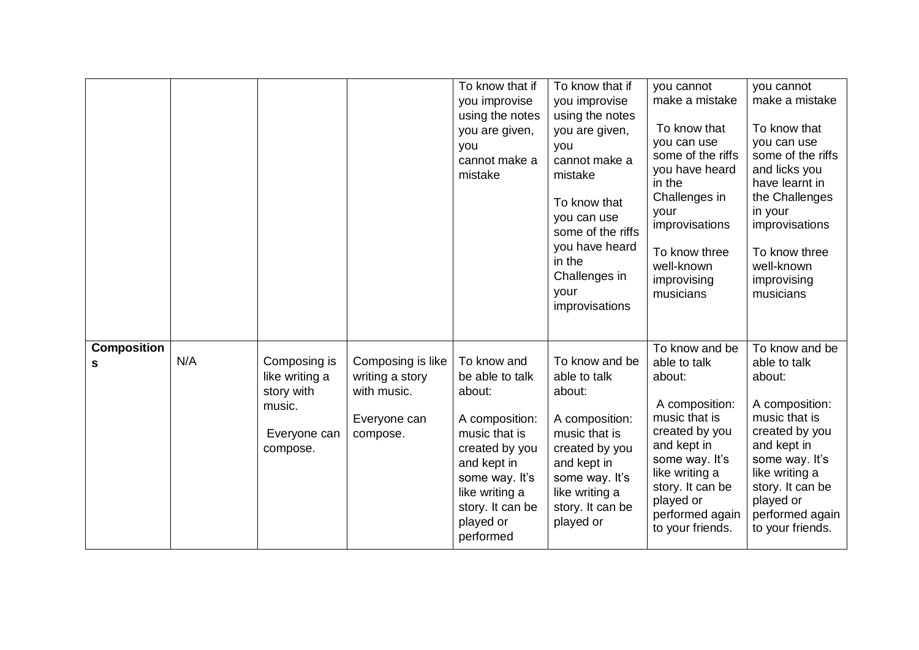|                         |     |                                                                                    |                                                                                 | To know that if<br>you improvise<br>using the notes<br>you are given,<br>you<br>cannot make a<br>mistake                                                                                       | To know that if<br>you improvise<br>using the notes<br>you are given,<br>you<br>cannot make a<br>mistake<br>To know that<br>you can use<br>some of the riffs<br>you have heard<br>in the<br>Challenges in<br>your<br>improvisations | you cannot<br>make a mistake<br>To know that<br>you can use<br>some of the riffs<br>you have heard<br>in the<br>Challenges in<br>your<br>improvisations<br>To know three<br>well-known<br>improvising<br>musicians       | you cannot<br>make a mistake<br>To know that<br>you can use<br>some of the riffs<br>and licks you<br>have learnt in<br>the Challenges<br>in your<br>improvisations<br>To know three<br>well-known<br>improvising<br>musicians |
|-------------------------|-----|------------------------------------------------------------------------------------|---------------------------------------------------------------------------------|------------------------------------------------------------------------------------------------------------------------------------------------------------------------------------------------|-------------------------------------------------------------------------------------------------------------------------------------------------------------------------------------------------------------------------------------|--------------------------------------------------------------------------------------------------------------------------------------------------------------------------------------------------------------------------|-------------------------------------------------------------------------------------------------------------------------------------------------------------------------------------------------------------------------------|
| <b>Composition</b><br>s | N/A | Composing is<br>like writing a<br>story with<br>music.<br>Everyone can<br>compose. | Composing is like<br>writing a story<br>with music.<br>Everyone can<br>compose. | To know and<br>be able to talk<br>about:<br>A composition:<br>music that is<br>created by you<br>and kept in<br>some way. It's<br>like writing a<br>story. It can be<br>played or<br>performed | To know and be<br>able to talk<br>about:<br>A composition:<br>music that is<br>created by you<br>and kept in<br>some way. It's<br>like writing a<br>story. It can be<br>played or                                                   | To know and be<br>able to talk<br>about:<br>A composition:<br>music that is<br>created by you<br>and kept in<br>some way. It's<br>like writing a<br>story. It can be<br>played or<br>performed again<br>to your friends. | To know and be<br>able to talk<br>about:<br>A composition:<br>music that is<br>created by you<br>and kept in<br>some way. It's<br>like writing a<br>story. It can be<br>played or<br>performed again<br>to your friends.      |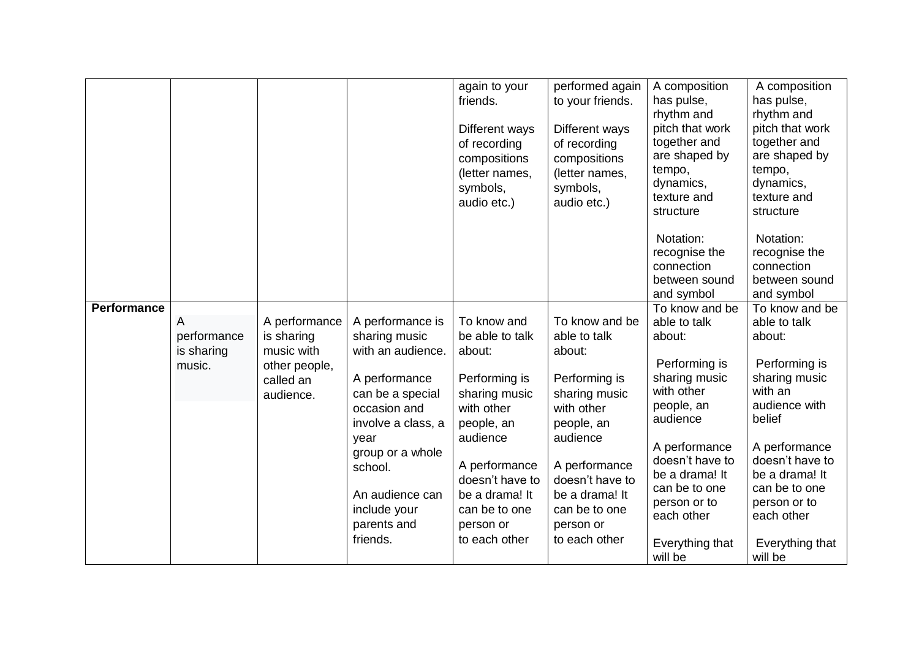|                    |                                          |                                                                                      |                                                                                                                                                                                                                                        | again to your<br>friends.<br>Different ways<br>of recording<br>compositions<br>(letter names,<br>symbols,<br>audio etc.)                                                                                                | performed again<br>to your friends.<br>Different ways<br>of recording<br>compositions<br>(letter names,<br>symbols,<br>audio etc.)                                                                                      | A composition<br>has pulse,<br>rhythm and<br>pitch that work<br>together and<br>are shaped by<br>tempo,<br>dynamics,<br>texture and<br>structure                                                                                                      | A composition<br>has pulse,<br>rhythm and<br>pitch that work<br>together and<br>are shaped by<br>tempo,<br>dynamics,<br>texture and<br>structure                                                                                                    |
|--------------------|------------------------------------------|--------------------------------------------------------------------------------------|----------------------------------------------------------------------------------------------------------------------------------------------------------------------------------------------------------------------------------------|-------------------------------------------------------------------------------------------------------------------------------------------------------------------------------------------------------------------------|-------------------------------------------------------------------------------------------------------------------------------------------------------------------------------------------------------------------------|-------------------------------------------------------------------------------------------------------------------------------------------------------------------------------------------------------------------------------------------------------|-----------------------------------------------------------------------------------------------------------------------------------------------------------------------------------------------------------------------------------------------------|
|                    |                                          |                                                                                      |                                                                                                                                                                                                                                        |                                                                                                                                                                                                                         |                                                                                                                                                                                                                         | Notation:<br>recognise the<br>connection<br>between sound<br>and symbol                                                                                                                                                                               | Notation:<br>recognise the<br>connection<br>between sound<br>and symbol                                                                                                                                                                             |
| <b>Performance</b> | A<br>performance<br>is sharing<br>music. | A performance<br>is sharing<br>music with<br>other people,<br>called an<br>audience. | A performance is<br>sharing music<br>with an audience.<br>A performance<br>can be a special<br>occasion and<br>involve a class, a<br>year<br>group or a whole<br>school.<br>An audience can<br>include your<br>parents and<br>friends. | To know and<br>be able to talk<br>about:<br>Performing is<br>sharing music<br>with other<br>people, an<br>audience<br>A performance<br>doesn't have to<br>be a drama! It<br>can be to one<br>person or<br>to each other | To know and be<br>able to talk<br>about:<br>Performing is<br>sharing music<br>with other<br>people, an<br>audience<br>A performance<br>doesn't have to<br>be a drama! It<br>can be to one<br>person or<br>to each other | To know and be<br>able to talk<br>about:<br>Performing is<br>sharing music<br>with other<br>people, an<br>audience<br>A performance<br>doesn't have to<br>be a drama! It<br>can be to one<br>person or to<br>each other<br>Everything that<br>will be | To know and be<br>able to talk<br>about:<br>Performing is<br>sharing music<br>with an<br>audience with<br>belief<br>A performance<br>doesn't have to<br>be a drama! It<br>can be to one<br>person or to<br>each other<br>Everything that<br>will be |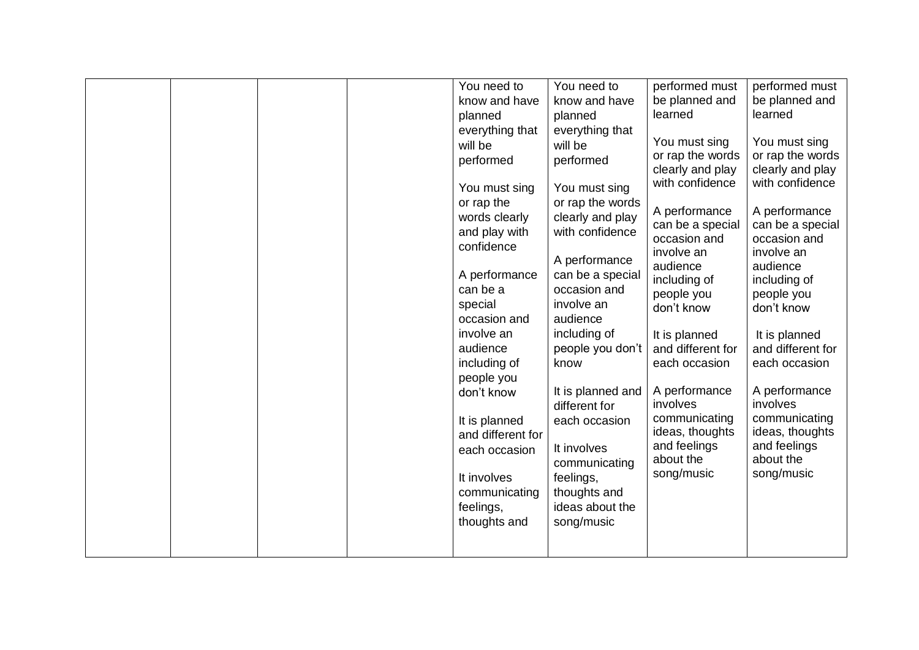|  |  | You need to       | You need to       | performed must                     | performed must                     |
|--|--|-------------------|-------------------|------------------------------------|------------------------------------|
|  |  | know and have     | know and have     | be planned and                     | be planned and                     |
|  |  | planned           | planned           | learned                            | learned                            |
|  |  | everything that   | everything that   |                                    |                                    |
|  |  | will be           | will be           | You must sing                      | You must sing                      |
|  |  | performed         | performed         | or rap the words                   | or rap the words                   |
|  |  |                   |                   | clearly and play                   | clearly and play                   |
|  |  | You must sing     | You must sing     | with confidence                    | with confidence                    |
|  |  | or rap the        | or rap the words  |                                    |                                    |
|  |  | words clearly     | clearly and play  | A performance                      | A performance                      |
|  |  | and play with     | with confidence   | can be a special                   | can be a special                   |
|  |  | confidence        |                   | occasion and                       | occasion and                       |
|  |  |                   | A performance     | involve an                         | involve an                         |
|  |  | A performance     | can be a special  | audience                           | audience                           |
|  |  | can be a          | occasion and      | including of                       | including of                       |
|  |  | special           | involve an        | people you<br>don't know           | people you<br>don't know           |
|  |  | occasion and      | audience          |                                    |                                    |
|  |  | involve an        | including of      |                                    |                                    |
|  |  | audience          | people you don't  | It is planned<br>and different for | It is planned<br>and different for |
|  |  | including of      | know              | each occasion                      | each occasion                      |
|  |  |                   |                   |                                    |                                    |
|  |  | people you        | It is planned and | A performance                      | A performance                      |
|  |  | don't know        | different for     | involves                           | involves                           |
|  |  |                   |                   | communicating                      | communicating                      |
|  |  | It is planned     | each occasion     | ideas, thoughts                    | ideas, thoughts                    |
|  |  | and different for |                   | and feelings                       | and feelings                       |
|  |  | each occasion     | It involves       | about the                          | about the                          |
|  |  |                   | communicating     | song/music                         | song/music                         |
|  |  | It involves       | feelings,         |                                    |                                    |
|  |  | communicating     | thoughts and      |                                    |                                    |
|  |  | feelings,         | ideas about the   |                                    |                                    |
|  |  | thoughts and      | song/music        |                                    |                                    |
|  |  |                   |                   |                                    |                                    |
|  |  |                   |                   |                                    |                                    |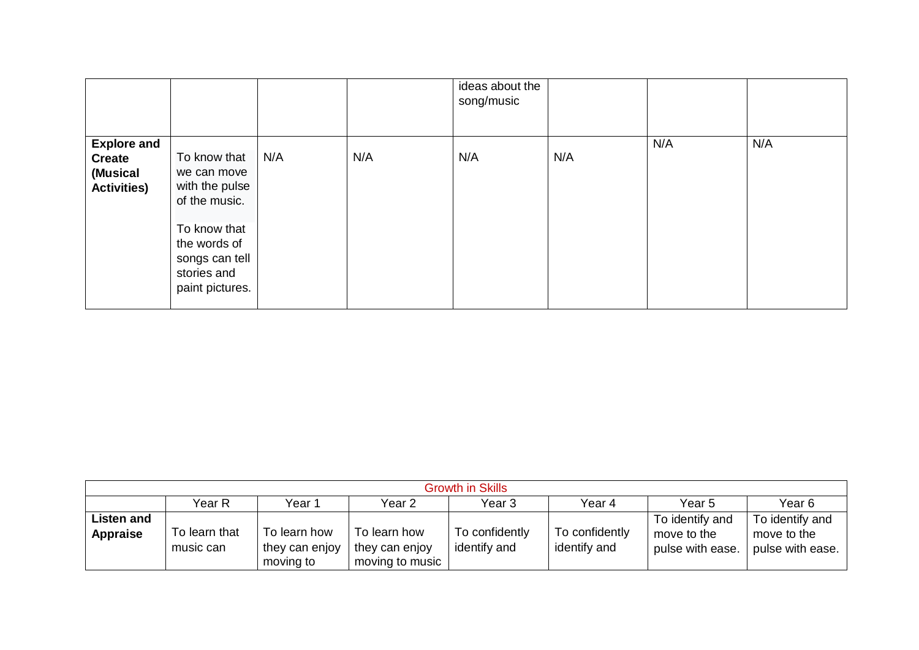|                                                                       |                                                                                  |     |     | ideas about the<br>song/music |     |     |     |
|-----------------------------------------------------------------------|----------------------------------------------------------------------------------|-----|-----|-------------------------------|-----|-----|-----|
| <b>Explore and</b><br><b>Create</b><br>(Musical<br><b>Activities)</b> | To know that<br>we can move<br>with the pulse<br>of the music.                   | N/A | N/A | N/A                           | N/A | N/A | N/A |
|                                                                       | To know that<br>the words of<br>songs can tell<br>stories and<br>paint pictures. |     |     |                               |     |     |     |

| <b>Growth in Skills</b>       |                            |                                             |                                                   |                                |                                |                                                    |                                                    |  |  |  |
|-------------------------------|----------------------------|---------------------------------------------|---------------------------------------------------|--------------------------------|--------------------------------|----------------------------------------------------|----------------------------------------------------|--|--|--|
|                               | Year R                     | Year 1                                      | Year 2                                            | Year 3                         | Year 4                         | Year 5                                             | Year 6                                             |  |  |  |
| <b>Listen and</b><br>Appraise | To learn that<br>music can | To learn how<br>they can enjoy<br>moving to | To learn how<br>they can enjoy<br>moving to music | To confidently<br>identify and | To confidently<br>identify and | To identify and<br>move to the<br>pulse with ease. | To identify and<br>move to the<br>pulse with ease. |  |  |  |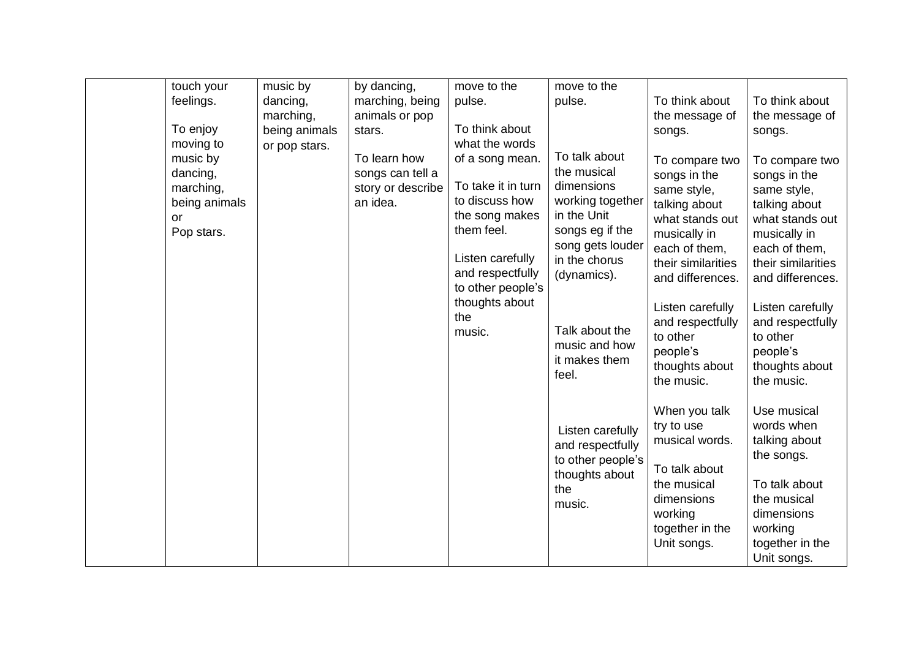| touch your                                                             | music by                       | by dancing,                                                       | move to the                                                                                                                     | move to the                                                                                                                                          |                                                                                                                                                              |                                                                                                                                                              |
|------------------------------------------------------------------------|--------------------------------|-------------------------------------------------------------------|---------------------------------------------------------------------------------------------------------------------------------|------------------------------------------------------------------------------------------------------------------------------------------------------|--------------------------------------------------------------------------------------------------------------------------------------------------------------|--------------------------------------------------------------------------------------------------------------------------------------------------------------|
| feelings.                                                              | dancing,                       | marching, being                                                   | pulse.                                                                                                                          | pulse.                                                                                                                                               | To think about                                                                                                                                               | To think about                                                                                                                                               |
| To enjoy                                                               | marching,                      | animals or pop<br>stars.                                          | To think about                                                                                                                  |                                                                                                                                                      | the message of                                                                                                                                               | the message of                                                                                                                                               |
| moving to                                                              | being animals<br>or pop stars. |                                                                   | what the words                                                                                                                  |                                                                                                                                                      | songs.                                                                                                                                                       | songs.                                                                                                                                                       |
| music by<br>dancing,<br>marching,<br>being animals<br>or<br>Pop stars. |                                | To learn how<br>songs can tell a<br>story or describe<br>an idea. | of a song mean.<br>To take it in turn<br>to discuss how<br>the song makes<br>them feel.<br>Listen carefully<br>and respectfully | To talk about<br>the musical<br>dimensions<br>working together<br>in the Unit<br>songs eg if the<br>song gets louder<br>in the chorus<br>(dynamics). | To compare two<br>songs in the<br>same style,<br>talking about<br>what stands out<br>musically in<br>each of them,<br>their similarities<br>and differences. | To compare two<br>songs in the<br>same style,<br>talking about<br>what stands out<br>musically in<br>each of them,<br>their similarities<br>and differences. |
|                                                                        |                                |                                                                   | to other people's<br>thoughts about<br>the<br>music.                                                                            | Talk about the<br>music and how<br>it makes them<br>feel.                                                                                            | Listen carefully<br>and respectfully<br>to other<br>people's<br>thoughts about<br>the music.                                                                 | Listen carefully<br>and respectfully<br>to other<br>people's<br>thoughts about<br>the music.                                                                 |
|                                                                        |                                |                                                                   |                                                                                                                                 | Listen carefully<br>and respectfully<br>to other people's<br>thoughts about<br>the<br>music.                                                         | When you talk<br>try to use<br>musical words.<br>To talk about<br>the musical<br>dimensions<br>working<br>together in the<br>Unit songs.                     | Use musical<br>words when<br>talking about<br>the songs.<br>To talk about<br>the musical<br>dimensions<br>working<br>together in the<br>Unit songs.          |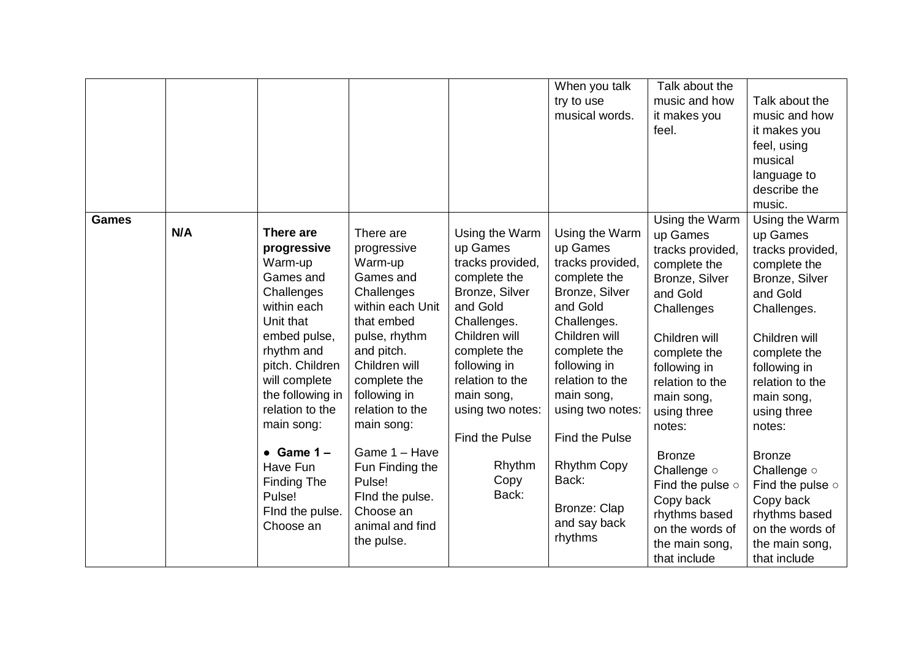|              |            |                                                                                                                                                                                                                                                                                                              |                                                                                                                                                                                                                                                                                                                                  |                                                                                                                                                                                                                                                                | When you talk<br>try to use<br>musical words.                                                                                                                                                                                                                                                                 | Talk about the<br>music and how<br>it makes you<br>feel.                                                                                                                                                                                                                                                                                                           | Talk about the<br>music and how<br>it makes you<br>feel, using<br>musical<br>language to<br>describe the<br>music.                                                                                                                                                                                                                                                  |
|--------------|------------|--------------------------------------------------------------------------------------------------------------------------------------------------------------------------------------------------------------------------------------------------------------------------------------------------------------|----------------------------------------------------------------------------------------------------------------------------------------------------------------------------------------------------------------------------------------------------------------------------------------------------------------------------------|----------------------------------------------------------------------------------------------------------------------------------------------------------------------------------------------------------------------------------------------------------------|---------------------------------------------------------------------------------------------------------------------------------------------------------------------------------------------------------------------------------------------------------------------------------------------------------------|--------------------------------------------------------------------------------------------------------------------------------------------------------------------------------------------------------------------------------------------------------------------------------------------------------------------------------------------------------------------|---------------------------------------------------------------------------------------------------------------------------------------------------------------------------------------------------------------------------------------------------------------------------------------------------------------------------------------------------------------------|
| <b>Games</b> | <b>N/A</b> | There are<br>progressive<br>Warm-up<br>Games and<br>Challenges<br>within each<br>Unit that<br>embed pulse,<br>rhythm and<br>pitch. Children<br>will complete<br>the following in<br>relation to the<br>main song:<br>$\bullet$ Game 1 -<br>Have Fun<br>Finding The<br>Pulse!<br>Find the pulse.<br>Choose an | There are<br>progressive<br>Warm-up<br>Games and<br>Challenges<br>within each Unit<br>that embed<br>pulse, rhythm<br>and pitch.<br>Children will<br>complete the<br>following in<br>relation to the<br>main song:<br>Game 1 - Have<br>Fun Finding the<br>Pulse!<br>Find the pulse.<br>Choose an<br>animal and find<br>the pulse. | Using the Warm<br>up Games<br>tracks provided,<br>complete the<br>Bronze, Silver<br>and Gold<br>Challenges.<br>Children will<br>complete the<br>following in<br>relation to the<br>main song,<br>using two notes:<br>Find the Pulse<br>Rhythm<br>Copy<br>Back: | Using the Warm<br>up Games<br>tracks provided,<br>complete the<br>Bronze, Silver<br>and Gold<br>Challenges.<br>Children will<br>complete the<br>following in<br>relation to the<br>main song,<br>using two notes:<br>Find the Pulse<br><b>Rhythm Copy</b><br>Back:<br>Bronze: Clap<br>and say back<br>rhythms | Using the Warm<br>up Games<br>tracks provided,<br>complete the<br>Bronze, Silver<br>and Gold<br>Challenges<br>Children will<br>complete the<br>following in<br>relation to the<br>main song,<br>using three<br>notes:<br><b>Bronze</b><br>Challenge o<br>Find the pulse $\circ$<br>Copy back<br>rhythms based<br>on the words of<br>the main song,<br>that include | Using the Warm<br>up Games<br>tracks provided,<br>complete the<br>Bronze, Silver<br>and Gold<br>Challenges.<br>Children will<br>complete the<br>following in<br>relation to the<br>main song,<br>using three<br>notes:<br><b>Bronze</b><br>Challenge o<br>Find the pulse $\circ$<br>Copy back<br>rhythms based<br>on the words of<br>the main song,<br>that include |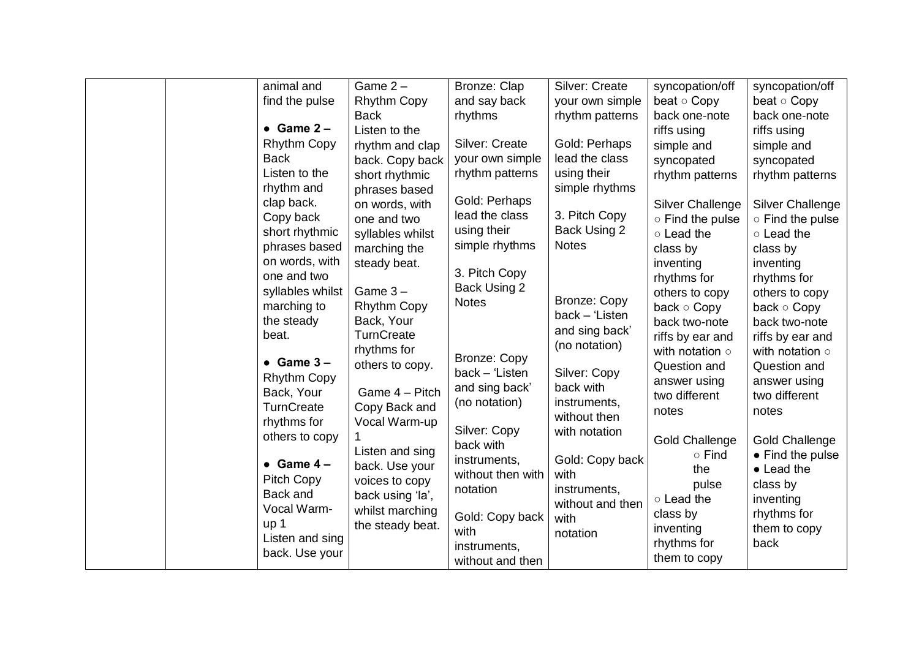| animal and         | Game $2 -$         | Bronze: Clap        | <b>Silver: Create</b> | syncopation/off         | syncopation/off         |
|--------------------|--------------------|---------------------|-----------------------|-------------------------|-------------------------|
| find the pulse     | <b>Rhythm Copy</b> | and say back        | your own simple       | beat $\circ$ Copy       | beat $\circ$ Copy       |
|                    | <b>Back</b>        | rhythms             | rhythm patterns       | back one-note           | back one-note           |
| $\bullet$ Game 2 - | Listen to the      |                     |                       | riffs using             | riffs using             |
| <b>Rhythm Copy</b> | rhythm and clap    | Silver: Create      | Gold: Perhaps         | simple and              | simple and              |
| <b>Back</b>        | back. Copy back    | your own simple     | lead the class        | syncopated              | syncopated              |
| Listen to the      | short rhythmic     | rhythm patterns     | using their           | rhythm patterns         | rhythm patterns         |
| rhythm and         | phrases based      |                     | simple rhythms        |                         |                         |
| clap back.         | on words, with     | Gold: Perhaps       |                       | <b>Silver Challenge</b> | <b>Silver Challenge</b> |
| Copy back          | one and two        | lead the class      | 3. Pitch Copy         | o Find the pulse        | ○ Find the pulse        |
| short rhythmic     | syllables whilst   | using their         | Back Using 2          | o Lead the              | o Lead the              |
| phrases based      | marching the       | simple rhythms      | <b>Notes</b>          | class by                | class by                |
| on words, with     | steady beat.       |                     |                       | inventing               | inventing               |
| one and two        |                    | 3. Pitch Copy       |                       | rhythms for             | rhythms for             |
| syllables whilst   | Game $3 -$         | Back Using 2        |                       | others to copy          | others to copy          |
| marching to        | <b>Rhythm Copy</b> | <b>Notes</b>        | Bronze: Copy          | back $\circ$ Copy       | back $\circ$ Copy       |
| the steady         | Back, Your         |                     | $back - 'Listener$    | back two-note           | back two-note           |
| beat.              | <b>TurnCreate</b>  |                     | and sing back'        | riffs by ear and        | riffs by ear and        |
|                    | rhythms for        |                     | (no notation)         | with notation $\circ$   | with notation $\circ$   |
| $\bullet$ Game 3 - | others to copy.    | <b>Bronze: Copy</b> |                       | Question and            | Question and            |
| <b>Rhythm Copy</b> |                    | back - 'Listen      | Silver: Copy          | answer using            | answer using            |
| Back, Your         | Game 4 - Pitch     | and sing back'      | back with             | two different           | two different           |
| TurnCreate         | Copy Back and      | (no notation)       | instruments,          | notes                   | notes                   |
| rhythms for        | Vocal Warm-up      |                     | without then          |                         |                         |
| others to copy     |                    | Silver: Copy        | with notation         | <b>Gold Challenge</b>   | <b>Gold Challenge</b>   |
|                    | Listen and sing    | back with           |                       | $\circ$ Find            | • Find the pulse        |
| $\bullet$ Game 4 - | back. Use your     | instruments,        | Gold: Copy back       | the                     | $\bullet$ Lead the      |
| <b>Pitch Copy</b>  | voices to copy     | without then with   | with                  | pulse                   | class by                |
| Back and           | back using 'la',   | notation            | instruments,          | o Lead the              | inventing               |
| Vocal Warm-        | whilst marching    |                     | without and then      | class by                | rhythms for             |
| up 1               | the steady beat.   | Gold: Copy back     | with                  | inventing               | them to copy            |
| Listen and sing    |                    | with                | notation              | rhythms for             | back                    |
| back. Use your     |                    | instruments,        |                       | them to copy            |                         |
|                    |                    | without and then    |                       |                         |                         |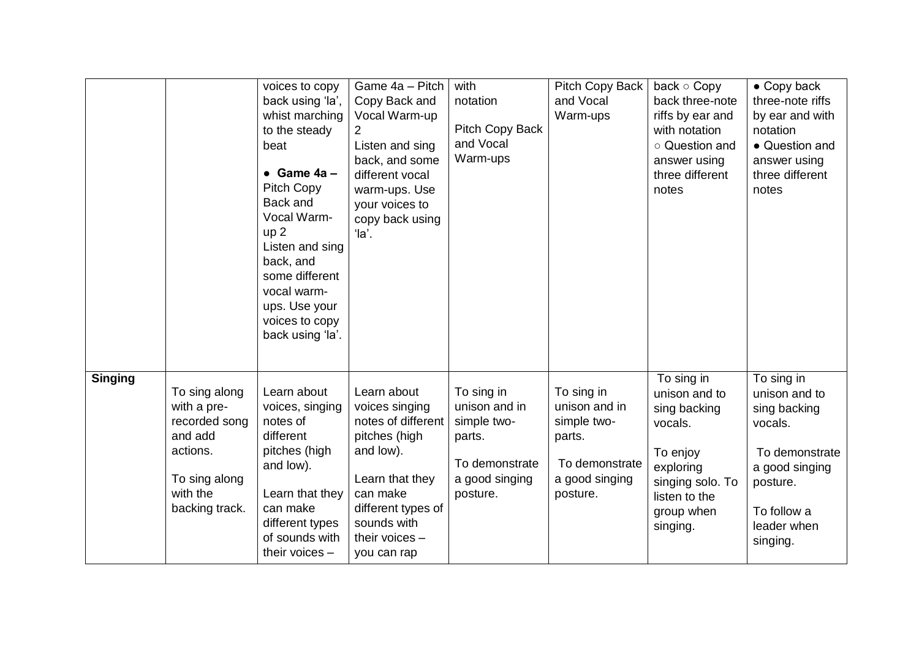|                |                                                                                                                     | voices to copy<br>back using 'la',<br>whist marching<br>to the steady<br>beat<br>$\bullet$ Game 4a -<br>Pitch Copy<br>Back and<br>Vocal Warm-<br>up <sub>2</sub><br>Listen and sing<br>back, and<br>some different<br>vocal warm-<br>ups. Use your<br>voices to copy<br>back using 'la'. | Game 4a - Pitch<br>Copy Back and<br>Vocal Warm-up<br>2<br>Listen and sing<br>back, and some<br>different vocal<br>warm-ups. Use<br>your voices to<br>copy back using<br>'la'.          | with<br>notation<br>Pitch Copy Back<br>and Vocal<br>Warm-ups                                         | Pitch Copy Back<br>and Vocal<br>Warm-ups                                                             | back o Copy<br>back three-note<br>riffs by ear and<br>with notation<br>o Question and<br>answer using<br>three different<br>notes              | $\bullet$ Copy back<br>three-note riffs<br>by ear and with<br>notation<br>• Question and<br>answer using<br>three different<br>notes             |
|----------------|---------------------------------------------------------------------------------------------------------------------|------------------------------------------------------------------------------------------------------------------------------------------------------------------------------------------------------------------------------------------------------------------------------------------|----------------------------------------------------------------------------------------------------------------------------------------------------------------------------------------|------------------------------------------------------------------------------------------------------|------------------------------------------------------------------------------------------------------|------------------------------------------------------------------------------------------------------------------------------------------------|--------------------------------------------------------------------------------------------------------------------------------------------------|
| <b>Singing</b> | To sing along<br>with a pre-<br>recorded song<br>and add<br>actions.<br>To sing along<br>with the<br>backing track. | Learn about<br>voices, singing<br>notes of<br>different<br>pitches (high<br>and low).<br>Learn that they<br>can make<br>different types<br>of sounds with<br>their voices $-$                                                                                                            | Learn about<br>voices singing<br>notes of different<br>pitches (high<br>and low).<br>Learn that they<br>can make<br>different types of<br>sounds with<br>their voices -<br>you can rap | To sing in<br>unison and in<br>simple two-<br>parts.<br>To demonstrate<br>a good singing<br>posture. | To sing in<br>unison and in<br>simple two-<br>parts.<br>To demonstrate<br>a good singing<br>posture. | To sing in<br>unison and to<br>sing backing<br>vocals.<br>To enjoy<br>exploring<br>singing solo. To<br>listen to the<br>group when<br>singing. | To sing in<br>unison and to<br>sing backing<br>vocals.<br>To demonstrate<br>a good singing<br>posture.<br>To follow a<br>leader when<br>singing. |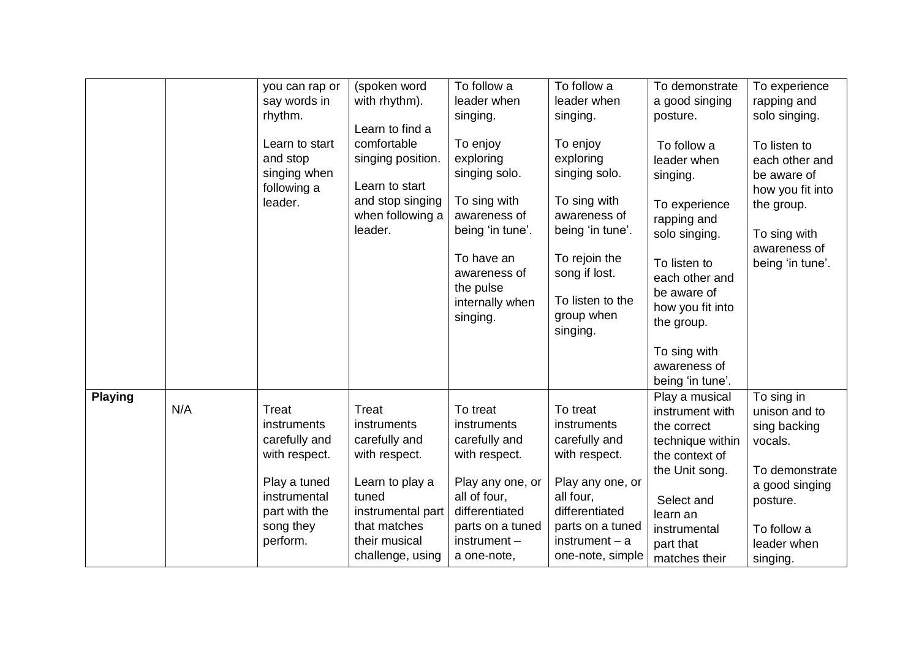|                |     | you can rap or<br>say words in<br>rhythm.<br>Learn to start<br>and stop<br>singing when<br>following a<br>leader.                       | (spoken word<br>with rhythm).<br>Learn to find a<br>comfortable<br>singing position.<br>Learn to start<br>and stop singing<br>when following a<br>leader.           | To follow a<br>leader when<br>singing.<br>To enjoy<br>exploring<br>singing solo.<br>To sing with<br>awareness of<br>being 'in tune'.<br>To have an<br>awareness of<br>the pulse<br>internally when<br>singing. | To follow a<br>leader when<br>singing.<br>To enjoy<br>exploring<br>singing solo.<br>To sing with<br>awareness of<br>being 'in tune'.<br>To rejoin the<br>song if lost.<br>To listen to the<br>group when<br>singing. | To demonstrate<br>a good singing<br>posture.<br>To follow a<br>leader when<br>singing.<br>To experience<br>rapping and<br>solo singing.<br>To listen to<br>each other and<br>be aware of<br>how you fit into<br>the group. | To experience<br>rapping and<br>solo singing.<br>To listen to<br>each other and<br>be aware of<br>how you fit into<br>the group.<br>To sing with<br>awareness of<br>being 'in tune'. |
|----------------|-----|-----------------------------------------------------------------------------------------------------------------------------------------|---------------------------------------------------------------------------------------------------------------------------------------------------------------------|----------------------------------------------------------------------------------------------------------------------------------------------------------------------------------------------------------------|----------------------------------------------------------------------------------------------------------------------------------------------------------------------------------------------------------------------|----------------------------------------------------------------------------------------------------------------------------------------------------------------------------------------------------------------------------|--------------------------------------------------------------------------------------------------------------------------------------------------------------------------------------|
|                |     |                                                                                                                                         |                                                                                                                                                                     |                                                                                                                                                                                                                |                                                                                                                                                                                                                      | To sing with<br>awareness of<br>being 'in tune'.                                                                                                                                                                           |                                                                                                                                                                                      |
| <b>Playing</b> | N/A | <b>Treat</b><br>instruments<br>carefully and<br>with respect.<br>Play a tuned<br>instrumental<br>part with the<br>song they<br>perform. | <b>Treat</b><br>instruments<br>carefully and<br>with respect.<br>Learn to play a<br>tuned<br>instrumental part<br>that matches<br>their musical<br>challenge, using | To treat<br>instruments<br>carefully and<br>with respect.<br>Play any one, or<br>all of four,<br>differentiated<br>parts on a tuned<br>$instrument -$<br>a one-note,                                           | To treat<br>instruments<br>carefully and<br>with respect.<br>Play any one, or<br>all four,<br>differentiated<br>parts on a tuned<br>$instrument - a$<br>one-note, simple                                             | Play a musical<br>instrument with<br>the correct<br>technique within<br>the context of<br>the Unit song.<br>Select and<br>learn an<br>instrumental<br>part that<br>matches their                                           | To sing in<br>unison and to<br>sing backing<br>vocals.<br>To demonstrate<br>a good singing<br>posture.<br>To follow a<br>leader when<br>singing.                                     |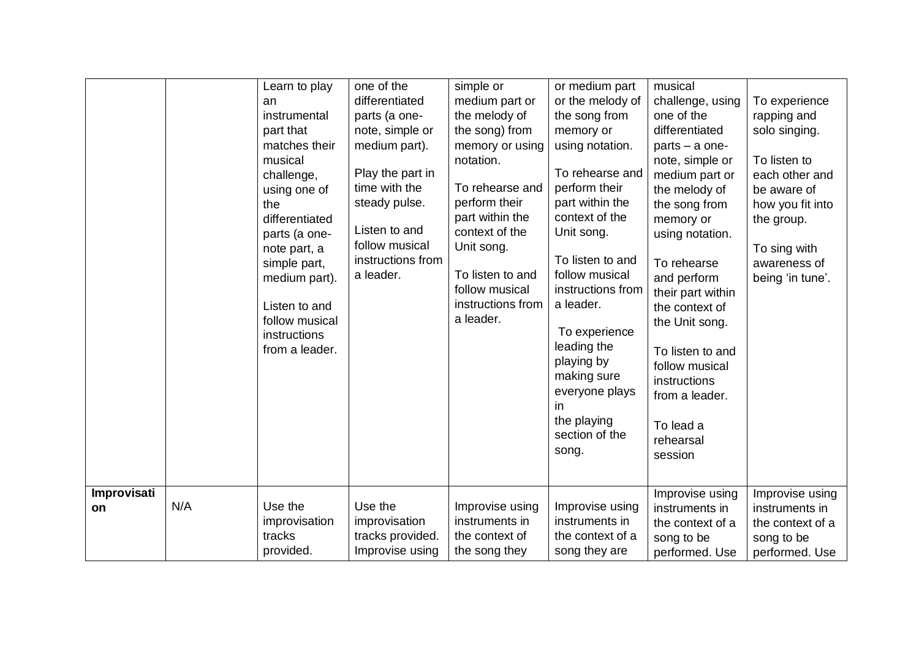| Improvisati |     | Learn to play<br>an<br>instrumental<br>part that<br>matches their<br>musical<br>challenge,<br>using one of<br>the<br>differentiated<br>parts (a one-<br>note part, a<br>simple part,<br>medium part).<br>Listen to and<br>follow musical<br>instructions<br>from a leader. | one of the<br>differentiated<br>parts (a one-<br>note, simple or<br>medium part).<br>Play the part in<br>time with the<br>steady pulse.<br>Listen to and<br>follow musical<br>instructions from<br>a leader. | simple or<br>medium part or<br>the melody of<br>the song) from<br>memory or using<br>notation.<br>To rehearse and<br>perform their<br>part within the<br>context of the<br>Unit song.<br>To listen to and<br>follow musical<br>instructions from<br>a leader. | or medium part<br>or the melody of<br>the song from<br>memory or<br>using notation.<br>To rehearse and<br>perform their<br>part within the<br>context of the<br>Unit song.<br>To listen to and<br>follow musical<br>instructions from<br>a leader.<br>To experience<br>leading the<br>playing by<br>making sure<br>everyone plays<br>in<br>the playing<br>section of the<br>song. | musical<br>challenge, using<br>one of the<br>differentiated<br>parts - a one-<br>note, simple or<br>medium part or<br>the melody of<br>the song from<br>memory or<br>using notation.<br>To rehearse<br>and perform<br>their part within<br>the context of<br>the Unit song.<br>To listen to and<br>follow musical<br>instructions<br>from a leader.<br>To lead a<br>rehearsal<br>session<br>Improvise using | To experience<br>rapping and<br>solo singing.<br>To listen to<br>each other and<br>be aware of<br>how you fit into<br>the group.<br>To sing with<br>awareness of<br>being 'in tune'.<br>Improvise using |
|-------------|-----|----------------------------------------------------------------------------------------------------------------------------------------------------------------------------------------------------------------------------------------------------------------------------|--------------------------------------------------------------------------------------------------------------------------------------------------------------------------------------------------------------|---------------------------------------------------------------------------------------------------------------------------------------------------------------------------------------------------------------------------------------------------------------|-----------------------------------------------------------------------------------------------------------------------------------------------------------------------------------------------------------------------------------------------------------------------------------------------------------------------------------------------------------------------------------|-------------------------------------------------------------------------------------------------------------------------------------------------------------------------------------------------------------------------------------------------------------------------------------------------------------------------------------------------------------------------------------------------------------|---------------------------------------------------------------------------------------------------------------------------------------------------------------------------------------------------------|
| <b>on</b>   | N/A | Use the<br>improvisation<br>tracks<br>provided.                                                                                                                                                                                                                            | Use the<br>improvisation<br>tracks provided.<br>Improvise using                                                                                                                                              | Improvise using<br>instruments in<br>the context of<br>the song they                                                                                                                                                                                          | Improvise using<br>instruments in<br>the context of a<br>song they are                                                                                                                                                                                                                                                                                                            | instruments in<br>the context of a<br>song to be<br>performed. Use                                                                                                                                                                                                                                                                                                                                          | instruments in<br>the context of a<br>song to be<br>performed. Use                                                                                                                                      |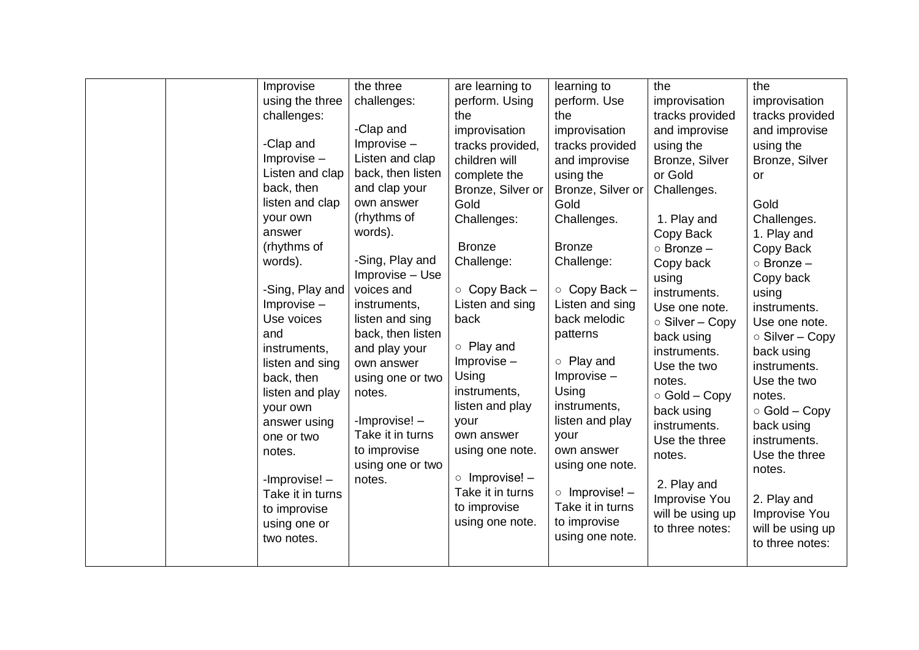| Improvise<br>using the three<br>challenges:<br>-Clap and<br>$Improvise -$<br>Listen and clap<br>back, then<br>listen and clap<br>your own<br>answer<br>(rhythms of<br>words).<br>-Sing, Play and<br>$Improvise -$<br>Use voices<br>and<br>instruments,<br>listen and sing<br>back, then<br>listen and play<br>your own<br>answer using<br>one or two<br>notes.<br>-Improvise!-<br>Take it in turns<br>to improvise<br>using one or<br>two notes. | the three<br>challenges:<br>-Clap and<br>$Improvise -$<br>Listen and clap<br>back, then listen<br>and clap your<br>own answer<br>(rhythms of<br>words).<br>-Sing, Play and<br>Improvise - Use<br>voices and<br>instruments,<br>listen and sing<br>back, then listen<br>and play your<br>own answer<br>using one or two<br>notes.<br>-Improvise!-<br>Take it in turns<br>to improvise<br>using one or two<br>notes. | are learning to<br>perform. Using<br>the<br>improvisation<br>tracks provided,<br>children will<br>complete the<br>Bronze, Silver or<br>Gold<br>Challenges:<br><b>Bronze</b><br>Challenge:<br>$\circ$ Copy Back -<br>Listen and sing<br>back<br>$\circ$ Play and<br>$Improvise -$<br>Using<br>instruments,<br>listen and play<br>your<br>own answer<br>using one note.<br>$\circ$ Improvise! –<br>Take it in turns<br>to improvise<br>using one note. | learning to<br>perform. Use<br>the<br>improvisation<br>tracks provided<br>and improvise<br>using the<br>Bronze, Silver or<br>Gold<br>Challenges.<br><b>Bronze</b><br>Challenge:<br>$\circ$ Copy Back -<br>Listen and sing<br>back melodic<br>patterns<br>o Play and<br>Improvise-<br>Using<br>instruments,<br>listen and play<br>your<br>own answer<br>using one note.<br>$\circ$ Improvise! -<br>Take it in turns<br>to improvise<br>using one note. | the<br>improvisation<br>tracks provided<br>and improvise<br>using the<br>Bronze, Silver<br>or Gold<br>Challenges.<br>1. Play and<br>Copy Back<br>$\circ$ Bronze $-$<br>Copy back<br>using<br>instruments.<br>Use one note.<br>○ Silver - Copy<br>back using<br>instruments.<br>Use the two<br>notes.<br>$\circ$ Gold – Copy<br>back using<br>instruments.<br>Use the three<br>notes.<br>2. Play and<br>Improvise You<br>will be using up<br>to three notes: | the<br>improvisation<br>tracks provided<br>and improvise<br>using the<br>Bronze, Silver<br><b>or</b><br>Gold<br>Challenges.<br>1. Play and<br>Copy Back<br>$\circ$ Bronze -<br>Copy back<br>using<br>instruments.<br>Use one note.<br>$\circ$ Silver – Copy<br>back using<br>instruments.<br>Use the two<br>notes.<br>$\circ$ Gold – Copy<br>back using<br>instruments.<br>Use the three<br>notes.<br>2. Play and<br>Improvise You<br>will be using up<br>to three notes: |
|--------------------------------------------------------------------------------------------------------------------------------------------------------------------------------------------------------------------------------------------------------------------------------------------------------------------------------------------------------------------------------------------------------------------------------------------------|--------------------------------------------------------------------------------------------------------------------------------------------------------------------------------------------------------------------------------------------------------------------------------------------------------------------------------------------------------------------------------------------------------------------|------------------------------------------------------------------------------------------------------------------------------------------------------------------------------------------------------------------------------------------------------------------------------------------------------------------------------------------------------------------------------------------------------------------------------------------------------|-------------------------------------------------------------------------------------------------------------------------------------------------------------------------------------------------------------------------------------------------------------------------------------------------------------------------------------------------------------------------------------------------------------------------------------------------------|-------------------------------------------------------------------------------------------------------------------------------------------------------------------------------------------------------------------------------------------------------------------------------------------------------------------------------------------------------------------------------------------------------------------------------------------------------------|---------------------------------------------------------------------------------------------------------------------------------------------------------------------------------------------------------------------------------------------------------------------------------------------------------------------------------------------------------------------------------------------------------------------------------------------------------------------------|
|--------------------------------------------------------------------------------------------------------------------------------------------------------------------------------------------------------------------------------------------------------------------------------------------------------------------------------------------------------------------------------------------------------------------------------------------------|--------------------------------------------------------------------------------------------------------------------------------------------------------------------------------------------------------------------------------------------------------------------------------------------------------------------------------------------------------------------------------------------------------------------|------------------------------------------------------------------------------------------------------------------------------------------------------------------------------------------------------------------------------------------------------------------------------------------------------------------------------------------------------------------------------------------------------------------------------------------------------|-------------------------------------------------------------------------------------------------------------------------------------------------------------------------------------------------------------------------------------------------------------------------------------------------------------------------------------------------------------------------------------------------------------------------------------------------------|-------------------------------------------------------------------------------------------------------------------------------------------------------------------------------------------------------------------------------------------------------------------------------------------------------------------------------------------------------------------------------------------------------------------------------------------------------------|---------------------------------------------------------------------------------------------------------------------------------------------------------------------------------------------------------------------------------------------------------------------------------------------------------------------------------------------------------------------------------------------------------------------------------------------------------------------------|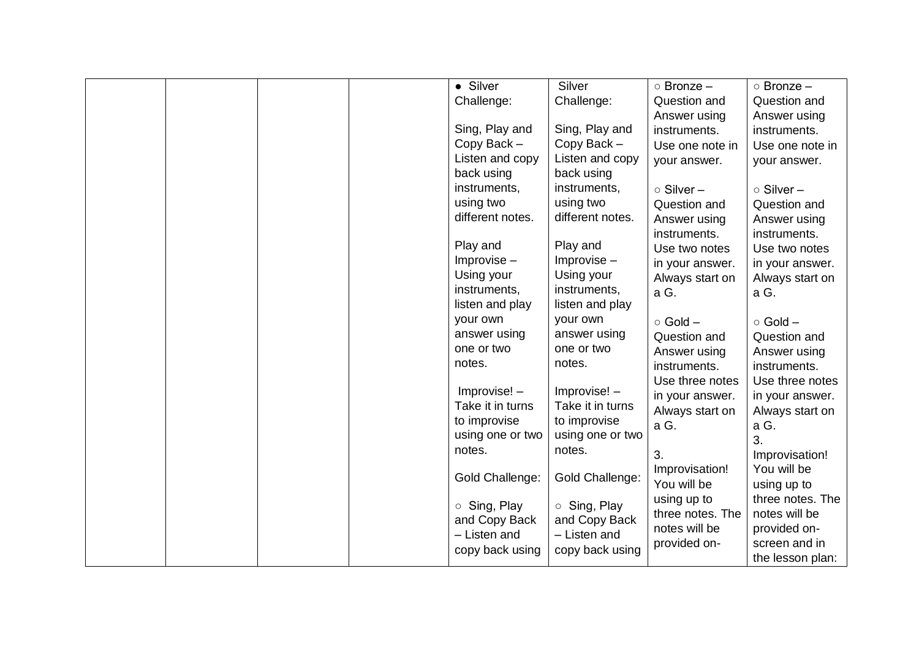|  |  | • Silver           | Silver                 | $\circ$ Bronze $-$              | $\circ$ Bronze $-$              |
|--|--|--------------------|------------------------|---------------------------------|---------------------------------|
|  |  | Challenge:         | Challenge:             | Question and                    | Question and                    |
|  |  |                    |                        | Answer using                    | Answer using                    |
|  |  | Sing, Play and     | Sing, Play and         | instruments.                    | instruments.                    |
|  |  | Copy Back-         | Copy Back -            | Use one note in                 | Use one note in                 |
|  |  | Listen and copy    | Listen and copy        | your answer.                    | your answer.                    |
|  |  | back using         | back using             |                                 |                                 |
|  |  | instruments,       | instruments,           | $\circ$ Silver -                | $\circ$ Silver -                |
|  |  | using two          | using two              | Question and                    | Question and                    |
|  |  | different notes.   | different notes.       | Answer using                    | Answer using                    |
|  |  |                    |                        | instruments.                    | instruments.                    |
|  |  | Play and           | Play and               | Use two notes                   | Use two notes                   |
|  |  | $Improvise -$      | $Improvise -$          | in your answer.                 | in your answer.                 |
|  |  | Using your         | Using your             | Always start on                 | Always start on                 |
|  |  | instruments,       | instruments,           | a G.                            | a G.                            |
|  |  | listen and play    | listen and play        |                                 |                                 |
|  |  | your own           | your own               | $\circ$ Gold $-$                | $\circ$ Gold $-$                |
|  |  | answer using       | answer using           | Question and                    | Question and                    |
|  |  | one or two         | one or two             | Answer using                    | Answer using                    |
|  |  | notes.             | notes.                 | instruments.                    | instruments.                    |
|  |  | Improvise! -       | Improvise! -           | Use three notes                 | Use three notes                 |
|  |  | Take it in turns   | Take it in turns       | in your answer.                 | in your answer.                 |
|  |  | to improvise       | to improvise           | Always start on                 | Always start on                 |
|  |  | using one or two   | using one or two       | a G.                            | a G.                            |
|  |  | notes.             | notes.                 |                                 | 3.                              |
|  |  |                    |                        | 3.                              | Improvisation!                  |
|  |  | Gold Challenge:    | <b>Gold Challenge:</b> | Improvisation!                  | You will be                     |
|  |  |                    |                        | You will be                     | using up to<br>three notes. The |
|  |  | $\circ$ Sing, Play | $\circ$ Sing, Play     | using up to<br>three notes. The | notes will be                   |
|  |  | and Copy Back      | and Copy Back          | notes will be                   | provided on-                    |
|  |  | - Listen and       | - Listen and           | provided on-                    | screen and in                   |
|  |  | copy back using    | copy back using        |                                 | the lesson plan:                |
|  |  |                    |                        |                                 |                                 |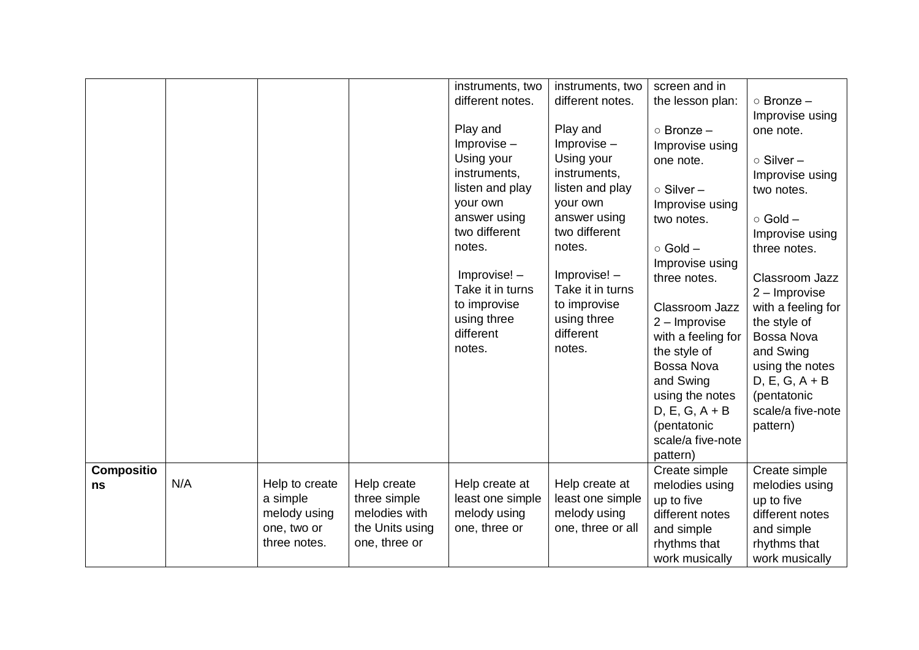|                         |     |                                                                           |                                                                                  | instruments, two<br>different notes.<br>Play and<br>$Improve -$<br>Using your<br>instruments,<br>listen and play<br>your own<br>answer using<br>two different<br>notes.<br>Improvise! -<br>Take it in turns<br>to improvise<br>using three<br>different<br>notes. | instruments, two<br>different notes.<br>Play and<br>$Improvise -$<br>Using your<br>instruments,<br>listen and play<br>your own<br>answer using<br>two different<br>notes.<br>Improvise! -<br>Take it in turns<br>to improvise<br>using three<br>different<br>notes. | screen and in<br>the lesson plan:<br>$\circ$ Bronze $-$<br>Improvise using<br>one note.<br>$\circ$ Silver -<br>Improvise using<br>two notes.<br>$\circ$ Gold $-$<br>Improvise using<br>three notes.<br>Classroom Jazz<br>$2 -$ Improvise<br>with a feeling for<br>the style of<br>Bossa Nova<br>and Swing<br>using the notes<br>$D, E, G, A + B$<br>(pentatonic | $\circ$ Bronze $-$<br>Improvise using<br>one note.<br>○ Silver-<br>Improvise using<br>two notes.<br>$\circ$ Gold $-$<br>Improvise using<br>three notes.<br>Classroom Jazz<br>$2 -$ Improvise<br>with a feeling for<br>the style of<br>Bossa Nova<br>and Swing<br>using the notes<br>$D, E, G, A + B$<br>(pentatonic<br>scale/a five-note<br>pattern) |
|-------------------------|-----|---------------------------------------------------------------------------|----------------------------------------------------------------------------------|-------------------------------------------------------------------------------------------------------------------------------------------------------------------------------------------------------------------------------------------------------------------|---------------------------------------------------------------------------------------------------------------------------------------------------------------------------------------------------------------------------------------------------------------------|-----------------------------------------------------------------------------------------------------------------------------------------------------------------------------------------------------------------------------------------------------------------------------------------------------------------------------------------------------------------|------------------------------------------------------------------------------------------------------------------------------------------------------------------------------------------------------------------------------------------------------------------------------------------------------------------------------------------------------|
|                         |     |                                                                           |                                                                                  |                                                                                                                                                                                                                                                                   |                                                                                                                                                                                                                                                                     | scale/a five-note<br>pattern)                                                                                                                                                                                                                                                                                                                                   |                                                                                                                                                                                                                                                                                                                                                      |
| <b>Compositio</b><br>ns | N/A | Help to create<br>a simple<br>melody using<br>one, two or<br>three notes. | Help create<br>three simple<br>melodies with<br>the Units using<br>one, three or | Help create at<br>least one simple<br>melody using<br>one, three or                                                                                                                                                                                               | Help create at<br>least one simple<br>melody using<br>one, three or all                                                                                                                                                                                             | Create simple<br>melodies using<br>up to five<br>different notes<br>and simple<br>rhythms that<br>work musically                                                                                                                                                                                                                                                | Create simple<br>melodies using<br>up to five<br>different notes<br>and simple<br>rhythms that<br>work musically                                                                                                                                                                                                                                     |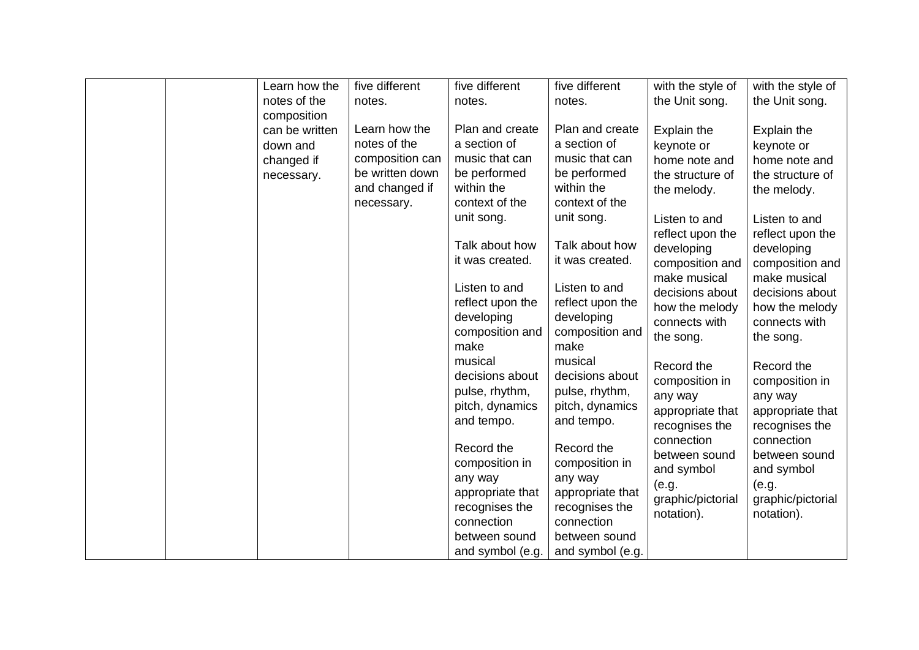|  | Learn how the<br>notes of the | five different<br>notes. | five different<br>notes.                                                                    | five different<br>notes.                                                                    | with the style of<br>the Unit song.                                                           | with the style of<br>the Unit song.                                                           |
|--|-------------------------------|--------------------------|---------------------------------------------------------------------------------------------|---------------------------------------------------------------------------------------------|-----------------------------------------------------------------------------------------------|-----------------------------------------------------------------------------------------------|
|  | composition                   |                          |                                                                                             |                                                                                             |                                                                                               |                                                                                               |
|  | can be written                | Learn how the            | Plan and create                                                                             | Plan and create                                                                             | Explain the                                                                                   | Explain the                                                                                   |
|  | down and                      | notes of the             | a section of                                                                                | a section of                                                                                | keynote or                                                                                    | keynote or                                                                                    |
|  | changed if                    | composition can          | music that can                                                                              | music that can                                                                              | home note and                                                                                 | home note and                                                                                 |
|  | necessary.                    | be written down          | be performed                                                                                | be performed                                                                                | the structure of                                                                              | the structure of                                                                              |
|  |                               | and changed if           | within the                                                                                  | within the                                                                                  | the melody.                                                                                   | the melody.                                                                                   |
|  |                               | necessary.               | context of the                                                                              | context of the                                                                              |                                                                                               |                                                                                               |
|  |                               |                          | unit song.                                                                                  | unit song.                                                                                  | Listen to and                                                                                 | Listen to and                                                                                 |
|  |                               |                          |                                                                                             |                                                                                             | reflect upon the                                                                              | reflect upon the                                                                              |
|  |                               |                          | Talk about how                                                                              | Talk about how                                                                              | developing                                                                                    | developing                                                                                    |
|  |                               |                          | it was created.                                                                             | it was created.                                                                             | composition and                                                                               | composition and                                                                               |
|  |                               |                          | Listen to and<br>reflect upon the<br>developing<br>composition and<br>make<br>musical       | Listen to and<br>reflect upon the<br>developing<br>composition and<br>make<br>musical       | make musical<br>decisions about<br>how the melody<br>connects with<br>the song.<br>Record the | make musical<br>decisions about<br>how the melody<br>connects with<br>the song.<br>Record the |
|  |                               |                          | decisions about<br>pulse, rhythm,                                                           | decisions about<br>pulse, rhythm,                                                           | composition in                                                                                | composition in                                                                                |
|  |                               |                          | pitch, dynamics                                                                             | pitch, dynamics                                                                             | any way                                                                                       | any way                                                                                       |
|  |                               |                          | and tempo.                                                                                  | and tempo.                                                                                  | appropriate that<br>recognises the                                                            | appropriate that<br>recognises the                                                            |
|  |                               |                          | Record the<br>composition in<br>any way<br>appropriate that<br>recognises the<br>connection | Record the<br>composition in<br>any way<br>appropriate that<br>recognises the<br>connection | connection<br>between sound<br>and symbol<br>(e.g.<br>graphic/pictorial<br>notation).         | connection<br>between sound<br>and symbol<br>(e.g.<br>graphic/pictorial<br>notation).         |
|  |                               |                          | between sound                                                                               | between sound                                                                               |                                                                                               |                                                                                               |
|  |                               |                          | and symbol (e.g.                                                                            | and symbol (e.g.                                                                            |                                                                                               |                                                                                               |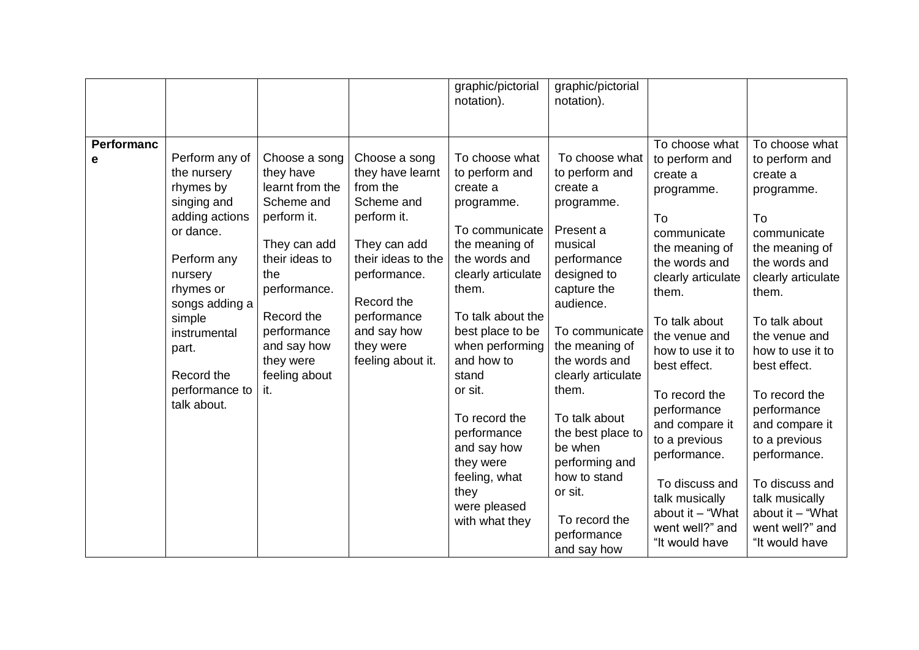|                        |                                                                                                                                                                                                                                     |                                                                                                                                                                                                                      |                                                                                                                                                                                                                | graphic/pictorial<br>notation).                                                                                                                                                                                                                                                                                                                                     | graphic/pictorial<br>notation).                                                                                                                                                                                                                                                                                                                                               |                                                                                                                                                                                                                                                                                                                                                                                                         |                                                                                                                                                                                                                                                                                                                                                                                                         |
|------------------------|-------------------------------------------------------------------------------------------------------------------------------------------------------------------------------------------------------------------------------------|----------------------------------------------------------------------------------------------------------------------------------------------------------------------------------------------------------------------|----------------------------------------------------------------------------------------------------------------------------------------------------------------------------------------------------------------|---------------------------------------------------------------------------------------------------------------------------------------------------------------------------------------------------------------------------------------------------------------------------------------------------------------------------------------------------------------------|-------------------------------------------------------------------------------------------------------------------------------------------------------------------------------------------------------------------------------------------------------------------------------------------------------------------------------------------------------------------------------|---------------------------------------------------------------------------------------------------------------------------------------------------------------------------------------------------------------------------------------------------------------------------------------------------------------------------------------------------------------------------------------------------------|---------------------------------------------------------------------------------------------------------------------------------------------------------------------------------------------------------------------------------------------------------------------------------------------------------------------------------------------------------------------------------------------------------|
| <b>Performanc</b><br>е | Perform any of<br>the nursery<br>rhymes by<br>singing and<br>adding actions<br>or dance.<br>Perform any<br>nursery<br>rhymes or<br>songs adding a<br>simple<br>instrumental<br>part.<br>Record the<br>performance to<br>talk about. | Choose a song<br>they have<br>learnt from the<br>Scheme and<br>perform it.<br>They can add<br>their ideas to<br>the<br>performance.<br>Record the<br>performance<br>and say how<br>they were<br>feeling about<br>it. | Choose a song<br>they have learnt<br>from the<br>Scheme and<br>perform it.<br>They can add<br>their ideas to the<br>performance.<br>Record the<br>performance<br>and say how<br>they were<br>feeling about it. | To choose what<br>to perform and<br>create a<br>programme.<br>To communicate<br>the meaning of<br>the words and<br>clearly articulate<br>them.<br>To talk about the<br>best place to be<br>when performing<br>and how to<br>stand<br>or sit.<br>To record the<br>performance<br>and say how<br>they were<br>feeling, what<br>they<br>were pleased<br>with what they | To choose what<br>to perform and<br>create a<br>programme.<br>Present a<br>musical<br>performance<br>designed to<br>capture the<br>audience.<br>To communicate<br>the meaning of<br>the words and<br>clearly articulate<br>them.<br>To talk about<br>the best place to<br>be when<br>performing and<br>how to stand<br>or sit.<br>To record the<br>performance<br>and say how | To choose what<br>to perform and<br>create a<br>programme.<br>To<br>communicate<br>the meaning of<br>the words and<br>clearly articulate<br>them.<br>To talk about<br>the venue and<br>how to use it to<br>best effect.<br>To record the<br>performance<br>and compare it<br>to a previous<br>performance.<br>To discuss and<br>talk musically<br>about it - "What<br>went well?" and<br>"It would have | To choose what<br>to perform and<br>create a<br>programme.<br>To<br>communicate<br>the meaning of<br>the words and<br>clearly articulate<br>them.<br>To talk about<br>the venue and<br>how to use it to<br>best effect.<br>To record the<br>performance<br>and compare it<br>to a previous<br>performance.<br>To discuss and<br>talk musically<br>about it - "What<br>went well?" and<br>"It would have |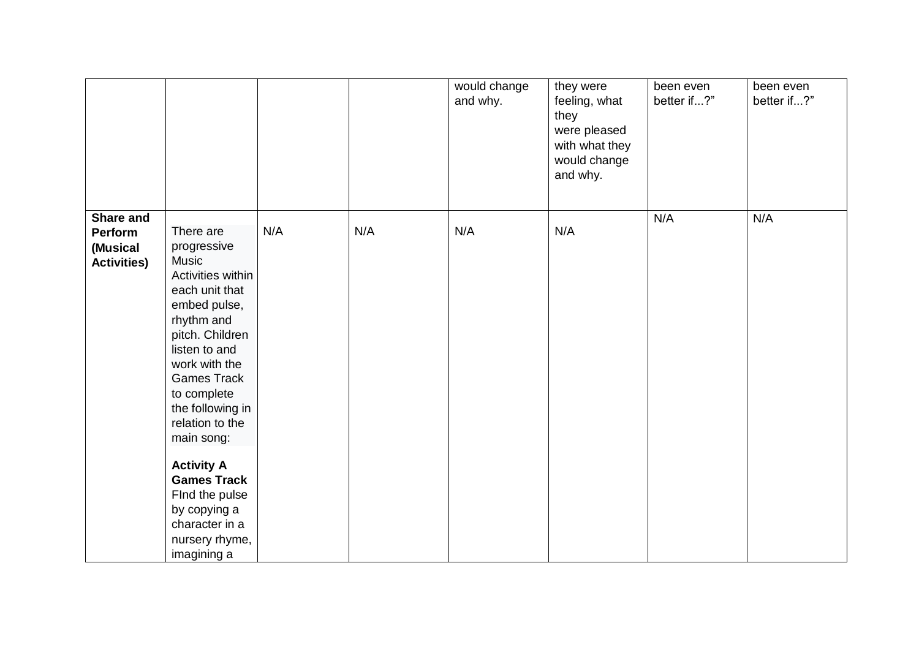|                    |                                         |     |     | would change<br>and why. | they were<br>feeling, what<br>they<br>were pleased<br>with what they<br>would change<br>and why. | been even<br>better if?" | been even<br>better if?" |
|--------------------|-----------------------------------------|-----|-----|--------------------------|--------------------------------------------------------------------------------------------------|--------------------------|--------------------------|
| <b>Share and</b>   |                                         |     |     |                          |                                                                                                  | N/A                      | N/A                      |
| Perform            | There are                               | N/A | N/A | N/A                      | N/A                                                                                              |                          |                          |
| (Musical           | progressive                             |     |     |                          |                                                                                                  |                          |                          |
| <b>Activities)</b> | <b>Music</b><br>Activities within       |     |     |                          |                                                                                                  |                          |                          |
|                    | each unit that                          |     |     |                          |                                                                                                  |                          |                          |
|                    | embed pulse,                            |     |     |                          |                                                                                                  |                          |                          |
|                    | rhythm and                              |     |     |                          |                                                                                                  |                          |                          |
|                    | pitch. Children                         |     |     |                          |                                                                                                  |                          |                          |
|                    | listen to and                           |     |     |                          |                                                                                                  |                          |                          |
|                    | work with the<br><b>Games Track</b>     |     |     |                          |                                                                                                  |                          |                          |
|                    | to complete                             |     |     |                          |                                                                                                  |                          |                          |
|                    | the following in                        |     |     |                          |                                                                                                  |                          |                          |
|                    | relation to the                         |     |     |                          |                                                                                                  |                          |                          |
|                    | main song:                              |     |     |                          |                                                                                                  |                          |                          |
|                    |                                         |     |     |                          |                                                                                                  |                          |                          |
|                    | <b>Activity A</b><br><b>Games Track</b> |     |     |                          |                                                                                                  |                          |                          |
|                    | Find the pulse                          |     |     |                          |                                                                                                  |                          |                          |
|                    | by copying a                            |     |     |                          |                                                                                                  |                          |                          |
|                    | character in a                          |     |     |                          |                                                                                                  |                          |                          |
|                    | nursery rhyme,                          |     |     |                          |                                                                                                  |                          |                          |
|                    | imagining a                             |     |     |                          |                                                                                                  |                          |                          |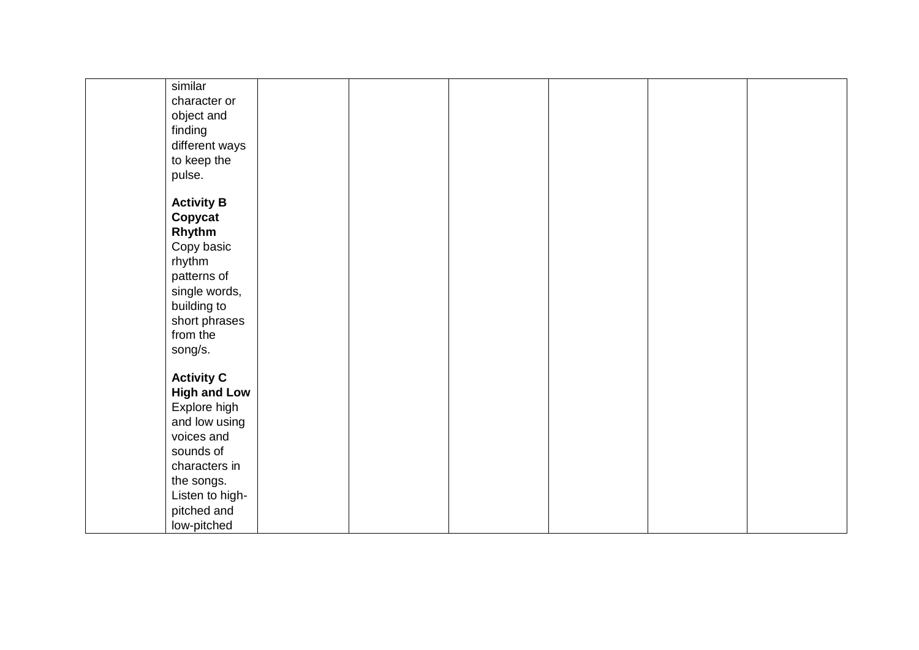| similar             |  |  |  |
|---------------------|--|--|--|
| character or        |  |  |  |
| object and          |  |  |  |
| finding             |  |  |  |
| different ways      |  |  |  |
| to keep the         |  |  |  |
| pulse.              |  |  |  |
| <b>Activity B</b>   |  |  |  |
| Copycat             |  |  |  |
| Rhythm              |  |  |  |
| Copy basic          |  |  |  |
| rhythm              |  |  |  |
| patterns of         |  |  |  |
| single words,       |  |  |  |
| building to         |  |  |  |
| short phrases       |  |  |  |
| from the            |  |  |  |
| song/s.             |  |  |  |
|                     |  |  |  |
| <b>Activity C</b>   |  |  |  |
| <b>High and Low</b> |  |  |  |
| Explore high        |  |  |  |
| and low using       |  |  |  |
| voices and          |  |  |  |
| sounds of           |  |  |  |
| characters in       |  |  |  |
| the songs.          |  |  |  |
| Listen to high-     |  |  |  |
| pitched and         |  |  |  |
| low-pitched         |  |  |  |